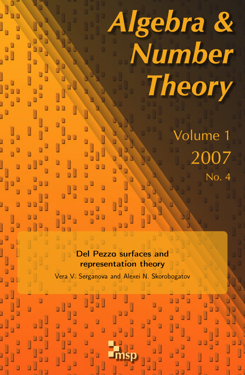# Algebra & Number **Theory**

Volume 1 2007 No. 4

Del Pezzo surfaces and representation theory

Vera V. Serganova and Alexei N. Skorobogatov

msp

ú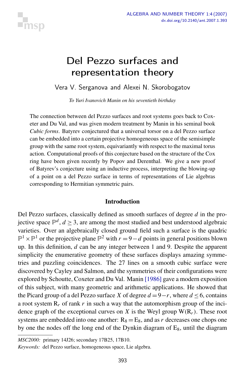

# Del Pezzo surfaces and representation theory

Vera V. Serganova and Alexei N. Skorobogatov

*To Yuri Ivanovich Manin on his seventieth birthday*

The connection between del Pezzo surfaces and root systems goes back to Coxeter and Du Val, and was given modern treatment by Manin in his seminal book *Cubic forms*. Batyrev conjectured that a universal torsor on a del Pezzo surface can be embedded into a certain projective homogeneous space of the semisimple group with the same root system, equivariantly with respect to the maximal torus action. Computational proofs of this conjecture based on the structure of the Cox ring have been given recently by Popov and Derenthal. We give a new proof of Batyrev's conjecture using an inductive process, interpreting the blowing-up of a point on a del Pezzo surface in terms of representations of Lie algebras corresponding to Hermitian symmetric pairs.

#### Introduction

Del Pezzo surfaces, classically defined as smooth surfaces of degree *d* in the projective space  $\mathbb{P}^d$ ,  $d \geq 3$ , are among the most studied and best understood algebraic varieties. Over an algebraically closed ground field such a surface is the quadric  $\mathbb{P}^1 \times \mathbb{P}^1$  or the projective plane  $\mathbb{P}^2$  with  $r = 9 - d$  points in general positions blown up. In this definition, *d* can be any integer between 1 and 9. Despite the apparent simplicity the enumerative geometry of these surfaces displays amazing symmetries and puzzling coincidences. The 27 lines on a smooth cubic surface were discovered by Cayley and Salmon, and the symmetries of their configurations were explored by Schoutte, Coxeter and Du Val. Manin [\[1986\]](#page-27-0) gave a modern exposition of this subject, with many geometric and arithmetic applications. He showed that the Picard group of a del Pezzo surface *X* of degree  $d = 9 - r$ , where  $d ≤ 6$ , contains a root system  $R_r$  of rank  $r$  in such a way that the automorphism group of the incidence graph of the exceptional curves on *X* is the Weyl group  $W(R_r)$ . These root systems are embedded into one another:  $R_8 = E_8$ , and as r decreases one chops one by one the nodes off the long end of the Dynkin diagram of  $E_8$ , until the diagram

*MSC2000:* primary 14J26; secondary 17B25, 17B10.

*Keywords:* del Pezzo surface, homogeneous space, Lie algebra.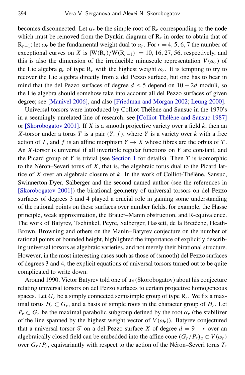becomes disconnected. Let  $\alpha_r$  be the simple root of  $R_r$  corresponding to the node which must be removed from the Dynkin diagram of  $R_r$  in order to obtain that of  $R_{r-1}$ ; let  $\omega_r$  be the fundamental weight dual to  $\alpha_r$ . For  $r = 4, 5, 6, 7$  the number of exceptional curves on *X* is  $|W(R_r)/W(R_{r-1})| = 10, 16, 27, 56$ , respectively, and this is also the dimension of the irreducible minuscule representation  $V(\omega_r)$  of the Lie algebra  $g_r$  of type  $R_r$  with the highest weight  $\omega_r$ . It is tempting to try to recover the Lie algebra directly from a del Pezzo surface, but one has to bear in mind that the del Pezzo surfaces of degree  $d \leq 5$  depend on  $10 - 2d$  moduli, so the Lie algebra should somehow take into account all del Pezzo surfaces of given degree; see [\[Manivel 2006\]](#page-27-1), and also [\[Friedman and Morgan 2002;](#page-26-0) [Leung 2000\]](#page-27-2).

Universal torsors were introduced by Colliot-Thélène and Sansuc in the 1970's in a seemingly unrelated line of research; see [Colliot-Thélène and Sansuc 1987] or [\[Skorobogatov 2001\]](#page-27-3). If *X* is a smooth projective variety over a field *k*, then an *X*-torsor under a torus *T* is a pair  $(Y, f)$ , where *Y* is a variety over *k* with a free action of *T*, and *f* is an affine morphism  $Y \rightarrow X$  whose fibres are the orbits of *T*. An *X*-torsor is universal if all invertible regular functions on *Y* are constant, and the Picard group of *Y* is trivial (see [Section 1](#page-4-0) for details). Then *T* is isomorphic to the Néron–Severi torus of  $X$ , that is, the algebraic torus dual to the Picard lattice of *X* over an algebraic closure of  $k$ . In the work of Colliot-Thélène, Sansuc, Swinnerton-Dyer, Salberger and the second named author (see the references in [\[Skorobogatov 2001\]](#page-27-3)) the birational geometry of universal torsors on del Pezzo surfaces of degrees 3 and 4 played a crucial role in gaining some understanding of the rational points on these surfaces over number fields, for example, the Hasse principle, weak approximation, the Brauer–Manin obstruction, and R-equivalence. The work of Batyrev, Tschinkel, Peyre, Salberger, Hassett, de la Bretèche, Heath-Brown, Browning and others on the Manin–Batyrev conjecture on the number of rational points of bounded height, highlighted the importance of explicitly describing universal torsors as algebraic varieties, and not merely their birational structure. However, in the most interesting cases such as those of (smooth) del Pezzo surfaces of degrees 3 and 4, the explicit equations of universal torsors turned out to be quite complicated to write down.

Around 1990, Victor Batyrev told one of us (Skorobogatov) about his conjecture relating universal torsors on del Pezzo surfaces to certain projective homogeneous spaces. Let  $G_r$  be a simply connected semisimple group of type  $R_r$ . We fix a maximal torus  $H_r \subset G_r$ , and a basis of simple roots in the character group of  $H_r$ . Let  $P_r \subset G_r$  be the maximal parabolic subgroup defined by the root  $\alpha_r$  (the stabilizer of the line spanned by the highest weight vector of  $V(\omega_r)$ ). Batyrev conjectured that a universal torsor  $\mathcal T$  on a del Pezzo surface *X* of degree  $d = 9 - r$  over an algebraically closed field can be embedded into the affine cone  $(G_r/P_r)_a \subset V(\omega_r)$ over  $G_r/P_r$ , equivariantly with respect to the action of the Néron–Severi torus  $T_r$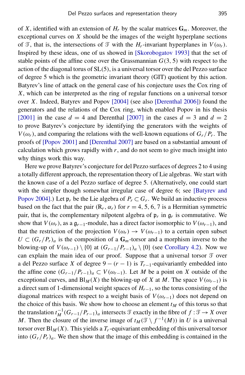of *X*, identified with an extension of  $H_r$  by the scalar matrices  $G_m$ . Moreover, the exceptional curves on *X* should be the images of the weight hyperplane sections of T, that is, the intersections of T with the  $H_r$ -invariant hyperplanes in  $V(\omega_r)$ . Inspired by these ideas, one of us showed in [\[Skorobogatov 1993\]](#page-27-4) that the set of stable points of the affine cone over the Grassmannian  $G(3, 5)$  with respect to the action of the diagonal torus of  $SL(5)$ , is a universal torsor over the del Pezzo surface of degree 5 which is the geometric invariant theory (GIT) quotient by this action. Batyrev's line of attack on the general case of his conjecture uses the Cox ring of *X*, which can be interpreted as the ring of regular functions on a universal torsor over *X*. Indeed, [Batyrev and Popov](#page-26-2) [2004] (see also [\[Derenthal 2006\]](#page-26-3)) found the generators and the relations of the Cox ring, which enabled Popov in his thesis [\[2001\]](#page-27-5) in the case  $d = 4$  and [Derenthal](#page-26-4) [2007] in the cases  $d = 3$  and  $d = 2$ to prove Batyrev's conjecture by identifying the generators with the weights of *V*( $\omega_r$ ), and comparing the relations with the well-known equations of  $G_r/P_r$ . The proofs of [\[Popov 2001\]](#page-27-5) and [\[Derenthal 2007\]](#page-26-4) are based on a substantial amount of calculation which grows rapidly with  $r$ , and do not seem to give much insight into why things work this way.

Here we prove Batyrev's conjecture for del Pezzo surfaces of degrees 2 to 4 using a totally different approach, the representation theory of Lie algebras. We start with the known case of a del Pezzo surface of degree 5. (Alternatively, one could start with the simpler though somewhat irregular case of degree 6; see [\[Batyrev and](#page-26-2) [Popov 2004\]](#page-26-2).) Let  $\mathfrak{p}_r$  be the Lie algebra of  $P_r \subset G_r$ . We build an inductive process based on the fact that the pair  $(R_r, \alpha_r)$  for  $r = 4, 5, 6, 7$  is a Hermitian symmetric pair, that is, the complementary nilpotent algebra of  $\mathfrak{p}_r$  in  $\mathfrak{g}_r$  is commutative. We show that  $V(\omega_r)$ , as a  $\mathfrak{g}_{r-1}$ -module, has a direct factor isomorphic to  $V(\omega_{r-1})$ , and that the restriction of the projection  $V(\omega_r) \to V(\omega_{r-1})$  to a certain open subset  $U \subset (G_r/P_r)_a$  is the composition of a  $\mathbf{G}_m$ -torsor and a morphism inverse to the blowing-up of  $V(\omega_{r-1}) \setminus \{0\}$  at  $(G_{r-1}/P_{r-1})_a \setminus \{0\}$  (see [Corollary 4.2\)](#page-16-0). Now we can explain the main idea of our proof. Suppose that a universal torsor  $\mathcal T$  over a del Pezzo surface *X* of degree  $9 - (r - 1)$  is  $T_{r-1}$ -equivariantly embedded into the affine cone  $(G_{r-1}/P_{r-1})_a \subset V(\omega_{r-1})$ . Let M be a point on X outside of the exceptional curves, and Bl<sub>M</sub>(*X*) the blowing-up of *X* at *M*. The space  $V(\omega_{r-1})$  is a direct sum of 1-dimensional weight spaces of *Hr*−1, so the torus consisting of the diagonal matrices with respect to a weight basis of  $V(\omega_{r-1})$  does not depend on the choice of this basis. We show how to choose an element  $t_M$  of this torus so that the translation  $t_M^{-1}(G_{r-1}/P_{r-1})_a$  intersects T exactly in the fibre of  $f : \mathcal{T} \to X$  over *M*. Then the closure of the inverse image of  $t_M(\mathcal{T} \setminus f^{-1}(M))$  in *U* is a universal torsor over  $\text{Bl}_M(X)$ . This yields a  $T_r$ -equivariant embedding of this universal torsor into  $(G_r/P_r)_a$ . We then show that the image of this embedding is contained in the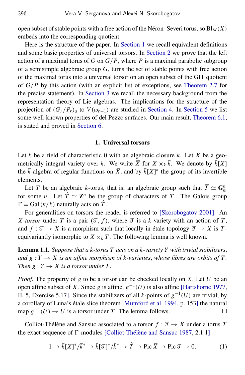open subset of stable points with a free action of the Néron–Severi torus, so  $\text{Bl}_M(X)$ embeds into the corresponding quotient.

Here is the structure of the paper. In [Section 1](#page-4-0) we recall equivalent definitions and some basic properties of universal torsors. In [Section 2](#page-6-0) we prove that the left action of a maximal torus of *G* on  $G/P$ , where *P* is a maximal parabolic subgroup of a semisimple algebraic group *G*, turns the set of stable points with free action of the maximal torus into a universal torsor on an open subset of the GIT quotient of *G*/*P* by this action (with an explicit list of exceptions, see [Theorem 2.7](#page-10-0) for the precise statement). In [Section 3](#page-10-1) we recall the necessary background from the representation theory of Lie algebras. The implications for the structure of the projection of  $(G_r/P_r)_a$  to  $V(\omega_{r-1})$  are studied in [Section 4.](#page-15-0) In [Section 5](#page-17-0) we list some well-known properties of del Pezzo surfaces. Our main result, [Theorem 6.1,](#page-19-0) is stated and proved in [Section 6.](#page-18-0)

#### 1. Universal torsors

<span id="page-4-0"></span>Let *k* be a field of characteristic 0 with an algebraic closure  $\bar{k}$ . Let *X* be a geometrically integral variety over *k*. We write  $\overline{X}$  for  $X \times_k \overline{k}$ . We denote by  $\overline{k}[X]$ the  $\bar{k}$ -algebra of regular functions on  $\bar{X}$ , and by  $\bar{k}[X]^*$  the group of its invertible elements.

Let *T* be an algebraic *k*-torus, that is, an algebraic group such that  $\overline{T} \simeq G_m^n$ for some *n*. Let  $\hat{T} \simeq \mathbb{Z}^n$  be the group of characters of *T*. The Galois group  $\Gamma =$ Gal( $\bar{k}/k$ ) naturally acts on  $\hat{T}$ .

For generalities on torsors the reader is referred to [\[Skorobogatov 2001\]](#page-27-3). An *X*-*torsor* under *T* is a pair  $(\mathcal{T}, f)$ , where  $\mathcal{T}$  is a *k*-variety with an action of *T*, and  $f : \mathcal{T} \to X$  is a morphism such that locally in étale topology  $\mathcal{T} \to X$  is  $T$ equivariantly isomorphic to  $X \times_k T$ . The following lemma is well known.

<span id="page-4-2"></span>Lemma 1.1. *Suppose that a k-torus T acts on a k-variety Y with trivial stabilizers*, *and g* :  $Y \rightarrow X$  *is an affine morphism of k-varieties, whose fibres are orbits of T. Then*  $g: Y \to X$  *is a torsor under T.* 

*Proof.* The property of *g* to be a torsor can be checked locally on *X*. Let *U* be an open affine subset of *X*. Since *g* is affine,  $g^{-1}(U)$  is also affine [\[Hartshorne 1977,](#page-27-6) II, 5, Exercise 5.17]. Since the stabilizers of all  $\bar{k}$ -points of  $g^{-1}(U)$  are trivial, by a corollary of Luna's étale slice theorem [\[Mumford et al. 1994,](#page-27-7) p. 153] the natural map  $g^{-1}(U) \to U$  is a torsor under *T*. The lemma follows.

Colliot-Thélène and Sansuc associated to a torsor  $f : \mathcal{T} \to X$  under a torus *T* the exact sequence of  $\Gamma$ -modules [Colliot-Thélène and Sansuc 1987, 2.1.1]

<span id="page-4-1"></span>
$$
1 \to \bar{k}[X]^*/\bar{k}^* \to \bar{k}[\mathcal{F}]^*/\bar{k}^* \to \hat{T} \to \text{Pic } \overline{X} \to \text{Pic } \overline{\mathcal{F}} \to 0. \tag{1}
$$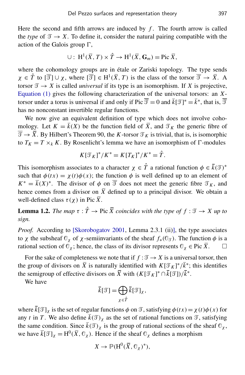Here the second and fifth arrows are induced by  $f$ . The fourth arrow is called the *type* of  $\mathcal{T} \to X$ . To define it, consider the natural pairing compatible with the action of the Galois group  $\Gamma$ ,

$$
\cup: H^1(\overline{X}, T) \times \hat{T} \to H^1(\overline{X}, \mathbf{G}_m) = \text{Pic } \overline{X},
$$

where the cohomology groups are in étale or Zariski topology. The type sends  $\chi \in \hat{T}$  to  $[\overline{\mathcal{T}}] \cup \chi$ , where  $[\overline{\mathcal{T}}] \in H^1(\overline{X}, T)$  is the class of the torsor  $\overline{\mathcal{T}} \to \overline{X}$ . A torsor  $\mathcal{T} \to X$  is called *universal* if its type is an isomorphism. If X is projective, [Equation \(1\)](#page-4-1) gives the following characterization of the universal torsors: an *X*torsor under a torus is universal if and only if Pic  $\overline{\mathcal{I}} = 0$  and  $\overline{k}[\mathcal{I}]^* = \overline{k}^*$ , that is,  $\overline{\mathcal{I}}$ has no nonconstant invertible regular functions.

We now give an equivalent definition of type which does not involve cohomology. Let  $K = \overline{k}(X)$  be the function field of  $\overline{X}$ , and  $\mathcal{T}_K$  the generic fibre of  $\overline{\mathcal{J}} \to \overline{X}$ . By Hilbert's Theorem 90, the *K*-torsor  $\mathcal{J}_K$  is trivial, that is, is isomorphic to  $T_K = T \times_k K$ . By Rosenlicht's lemma we have an isomorphism of  $\Gamma$ -modules

$$
K[\mathcal{T}_K]^*/K^* = K[T_K]^*/K^* = \hat{T}.
$$

This isomorphism associates to a character  $\chi \in \hat{T}$  a rational function  $\phi \in \bar{k}(\mathcal{T})^*$ such that  $\phi(tx) = \chi(t)\phi(x)$ ; the function  $\phi$  is well defined up to an element of  $K^* = \overline{k}(X)^*$ . The divisor of  $\phi$  on  $\overline{\mathcal{I}}$  does not meet the generic fibre  $\mathcal{I}_K$ , and hence comes from a divisor on  $\overline{X}$  defined up to a principal divisor. We obtain a well-defined class  $\tau(\chi)$  in Pic  $\overline{X}$ .

<span id="page-5-0"></span>**Lemma 1.2.** *The map*  $\tau : \hat{T} \to \text{Pic } \overline{X}$  *coincides with the type of*  $f : \mathcal{T} \to X$  *up to sign.*

*Proof.* According to [\[Skorobogatov 2001,](#page-27-3) Lemma 2.3.1 (ii)], the type associates to x the subsheaf  $\mathbb{O}_\chi$  of x-semiinvariants of the sheaf  $f_*(\mathbb{O}_\mathcal{F})$ . The function  $\phi$  is a rational section of  $\mathbb{O}_{\chi}$ ; hence, the class of its divisor represents  $\mathbb{O}_{\chi} \in \text{Pic } \overline{X}$ .

For the sake of completeness we note that if  $f : \mathcal{T} \to X$  is a universal torsor, then the group of divisors on  $\bar{X}$  is naturally identified with  $K[\mathcal{T}_K]^*/\bar{k}^*$ ; this identifies the semigroup of effective divisors on  $\bar{X}$  with  $(K[\mathcal{T}_K]^* \cap \bar{k}[\mathcal{T}])/\bar{k}^*$ .

We have

$$
\bar{k}[\mathcal{T}]=\bigoplus_{\chi\in\hat{T}}\bar{k}[\mathcal{T}]_{\chi},
$$

where  $\overline{k}[\mathcal{T}]_x$  is the set of regular functions  $\phi$  on  $\mathcal{T}$ , satisfying  $\phi(tx) = \chi(t)\phi(x)$  for any *t* in *T*. We also define  $\bar{k}(\mathcal{T})_{\chi}$  as the set of rational functions on  $\mathcal{T}$ , satisfying the same condition. Since  $\bar{k}(\mathcal{F})_{\chi}$  is the group of rational sections of the sheaf  $\mathcal{O}_{\chi}$ , we have  $\bar{k}[\mathcal{T}]_{\chi} = H^0(\bar{X}, \mathcal{O}_{\chi})$ . Hence if the sheaf  $\mathcal{O}_{\chi}$  defines a morphism

$$
X \to \mathbb{P}(\mathrm{H}^0(\overline{X}, \mathbb{O}_{\chi})^*),
$$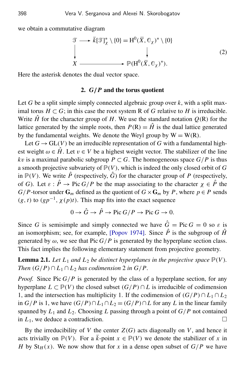we obtain a commutative diagram

<span id="page-6-2"></span>
$$
\mathcal{T} \longrightarrow \bar{k}[\mathcal{T}]^*_{\chi} \setminus \{0\} = H^0(\bar{X}, \mathbb{G}_{\chi})^* \setminus \{0\}
$$
\n
$$
\downarrow \qquad \qquad \downarrow
$$
\n
$$
X \longrightarrow \mathbb{P}(H^0(\bar{X}, \mathbb{G}_{\chi})^*).
$$
\n(2)

<span id="page-6-0"></span>Here the asterisk denotes the dual vector space.

#### 2. *G*/*P* and the torus quotient

Let *G* be a split simple simply connected algebraic group over *k*, with a split maximal torus *H* ⊂ *G*; in this case the root system R of *G* relative to *H* is irreducible. Write  $\hat{H}$  for the character group of *H*. We use the standard notation  $Q(R)$  for the lattice generated by the simple roots, then  $P(R) = \hat{H}$  is the dual lattice generated by the fundamental weights. We denote the Weyl group by  $W = W(R)$ .

Let  $G \to GL(V)$  be an irreducible representation of *G* with a fundamental highest weight  $\omega \in \hat{H}$ . Let  $v \in V$  be a highest weight vector. The stabilizer of the line *kv* is a maximal parabolic subgroup  $P \subset G$ . The homogeneous space  $G/P$  is thus a smooth projective subvariety of  $P(V)$ , which is indeed the only closed orbit of G in  $\mathbb{P}(V)$ . We write  $\hat{P}$  (respectively,  $\hat{G}$ ) for the character group of P (respectively, of *G*). Let  $\varepsilon$  :  $\hat{P} \to \text{Pic } G/P$  be the map associating to the character  $\chi \in \hat{P}$  the *G*/*P*-torsor under  $G_m$  defined as the quotient of  $G \times G_m$  by *P*, where  $p \in P$  sends  $(g, t)$  to  $(gp^{-1}, \chi(p)t)$ . This map fits into the exact sequence

$$
0 \to \hat{G} \to \hat{P} \to \text{Pic } G/P \to \text{Pic } G \to 0.
$$

Since *G* is semisimple and simply connected we have  $\hat{G} = \text{Pic } G = 0$  so  $\varepsilon$  is an isomorphism; see, for example, [\[Popov 1974\]](#page-27-8). Since  $\hat{P}$  is the subgroup of  $\hat{H}$ generated by  $\omega$ , we see that Pic  $G/P$  is generated by the hyperplane section class. This fact implies the following elementary statement from projective geometry.

<span id="page-6-1"></span>**Lemma 2.1.** Let  $L_1$  and  $L_2$  be distinct hyperplanes in the projective space  $\mathbb{P}(V)$ . *Then*  $(G/P) \cap L_1 \cap L_2$  *has codimension* 2 *in*  $G/P$ .

*Proof.* Since Pic  $G/P$  is generated by the class of a hyperplane section, for any hyperplane  $L \subset \mathbb{P}(V)$  the closed subset  $(G/P) \cap L$  is irreducible of codimension 1, and the intersection has multiplicity 1. If the codimension of  $(G/P) \cap L_1 \cap L_2$ in *G*/*P* is 1, we have  $(G/P) ∩ L_1 ∩ L_2 = (G/P) ∩ L$  for any *L* in the linear family spanned by  $L_1$  and  $L_2$ . Choosing *L* passing through a point of  $G/P$  not contained in  $L_1$ , we deduce a contradiction.

By the irreducibility of *V* the center  $Z(G)$  acts diagonally on *V*, and hence it acts trivially on  $\mathbb{P}(V)$ . For a  $\overline{k}$ -point  $x \in \mathbb{P}(V)$  we denote the stabilizer of x in *H* by  $St_H(x)$ . We now show that for *x* in a dense open subset of  $G/P$  we have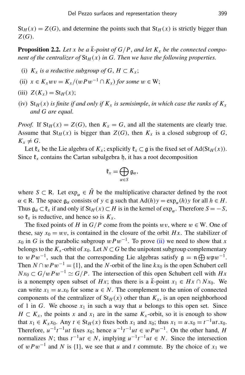$St_H(x) = Z(G)$ , and determine the points such that  $St_H(x)$  is strictly bigger than *Z*(*G*).

<span id="page-7-3"></span>**Proposition 2.2.** Let x be a  $\bar{k}$ -point of  $G/P$ , and let  $K_x$  be the connected compo*nent of the centralizer of*  $St_H(x)$  *in G. Then we have the following properties.* 

- (i)  $K_x$  *is a reductive subgroup of G*,  $H \subset K_x$ ;
- <span id="page-7-0"></span>(ii)  $x \in K_x wv = K_x/(wPw^{-1} \cap K_x)$  *for some*  $w \in W$ ;
- <span id="page-7-1"></span>(iii)  $Z(K_x) = St_H(x);$
- <span id="page-7-2"></span>(iv)  $St_H(x)$  *is finite if and only if*  $K_x$  *is semisimple, in which case the ranks of*  $K_x$ *and G are equal.*

*Proof.* If  $St_H(x) = Z(G)$ , then  $K_x = G$ , and all the statements are clearly true. Assume that  $St_H(x)$  is bigger than  $Z(G)$ , then  $K_x$  is a closed subgroup of  $G$ ,  $K_x \neq G$ .

Let  $\mathfrak{k}_x$  be the Lie algebra of  $K_x$ ; explicitly  $\mathfrak{k}_x \subset \mathfrak{g}$  is the fixed set of Ad(St<sub>H</sub>(x)). Since  $\mathfrak{k}_x$  contains the Cartan subalgebra h, it has a root decomposition

$$
\mathfrak{k}_x=\bigoplus_{\alpha\in S}\mathfrak{g}_{\alpha},
$$

where  $S \subset R$ . Let  $\exp_{\alpha} \in \hat{H}$  be the multiplicative character defined by the root  $\alpha \in \mathbb{R}$ . The space  $\mathfrak{g}_{\alpha}$  consists of  $y \in \mathfrak{g}$  such that  $\text{Ad}(h)y = \exp_{\alpha}(h)y$  for all  $h \in H$ . Thus  $\mathfrak{g}_{\alpha} \subset \mathfrak{k}_x$  if and only if  $St_H(x) \subset H$  is in the kernel of  $\exp_{\alpha}$ . Therefore  $S = -S$ , so  $\mathfrak{k}_x$  is reductive, and hence so is  $K_x$ .

The fixed points of *H* in  $G/P$  come from the points wv, where  $w \in W$ . One of these, say  $x_0 = wv$ , is contained in the closure of the orbit *Hx*. The stabilizer of  $x_0$  in *G* is the parabolic subgroup  $w P w^{-1}$ . To prove [\(ii\)](#page-7-0) we need to show that *x* belongs to the  $K_x$ -orbit of  $x_0$ . Let  $N \subset G$  be the unipotent subgroup complementary to  $w P w^{-1}$ , such that the corresponding Lie algebras satisfy  $\mathfrak{g} = \mathfrak{n} \bigoplus w \mathfrak{p} w^{-1}$ . Then  $N \cap wPw^{-1} = \{1\}$ , and the *N*-orbit of the line  $kx_0$  is the open Schubert cell  $N x_0 \subset G/wPw^{-1} \simeq G/P$ . The intersection of this open Schubert cell with *Hx* is a nonempty open subset of *Hx*; thus there is a  $\bar{k}$ -point  $x_1 \in Hx \cap Nx_0$ . We can write  $x_1 = u \cdot x_0$  for some  $u \in N$ . The complement to the union of connected components of the centralizer of  $St_H(x)$  other than  $K_x$ , is an open neighborhood of 1 in *G*. We choose  $x_1$  in such a way that *u* belongs to this open set. Since  $H \subset K_x$ , the points *x* and *x*<sub>1</sub> are in the same  $K_x$ -orbit, so it is enough to show that *x*<sub>1</sub> ∈ *K*<sub>*x*</sub> *x*<sub>0</sub>. Any *t* ∈ St<sub>*H*</sub>(*x*) fixes both *x*<sub>1</sub> and *x*<sub>0</sub>; thus *x*<sub>1</sub> = *u*.*x*<sub>0</sub> =  $t^{-1}ut.x_0$ . Therefore,  $u^{-1}t^{-1}ut$  fixes  $x_0$ ; hence  $u^{-1}t^{-1}ut \in wPw^{-1}$ . On the other hand, *H* normalizes *N*; thus  $t^{-1}ut \in N$ , implying  $u^{-1}t^{-1}ut \in N$ . Since the intersection of  $w P w^{-1}$  and *N* is {1}, we see that *u* and *t* commute. By the choice of  $x_1$  we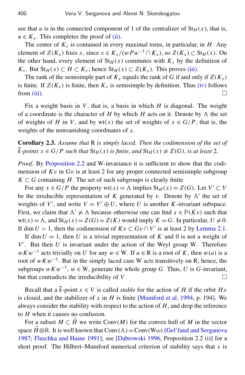see that *u* is in the connected component of 1 of the centralizer of  $St_H(x)$ , that is,  $u \in K_x$ . This completes the proof of [\(ii\).](#page-7-0)

The center of  $K_x$  is contained in every maximal torus, in particular, in  $H$ . Any element of  $Z(K_x)$  fixes *x*, since  $x \in K_x/(wPw^{-1} \cap K_x)$ , so  $Z(K_x) \subset St_H(x)$ . On the other hand, every element of  $St_H(x)$  commutes with  $K_x$  by the definition of *K*<sub>*x*</sub>. But St<sub>*H*</sub>(*x*) ⊂ *H* ⊂ *K*<sub>*x*</sub>; hence St<sub>*H*</sub>(*x*) ⊂ *Z*(*K*<sub>*x*</sub>). This proves [\(iii\).](#page-7-1)

The rank of the semisimple part of  $K_x$  equals the rank of *G* if and only if  $Z(K_x)$ is finite. If  $Z(K_x)$  is finite, then  $K_x$  is semisimple by definition. Thus [\(iv\)](#page-7-2) follows from [\(iii\).](#page-7-1)  $\Box$ 

Fix a weight basis in *V*, that is, a basis in which *H* is diagonal. The weight of a coordinate is the character of  $H$  by which  $H$  acts on it. Denote by  $\Lambda$  the set of weights of *H* in *V*, and by wt(*x*) the set of weights of  $x \in G/P$ , that is, the weights of the nonvanishing coordinates of *x*.

<span id="page-8-0"></span>Corollary 2.3. *Assume that* R *is simply laced. Then the codimension of the set of k*-points  $x \in G/P$  such that  $St_H(x)$  is finite, and  $St_H(x) \neq Z(G)$ , is at least 2.

*Proof.* By [Proposition 2.2](#page-7-3) and W-invariance it is sufficient to show that the codimension of  $Kv$  in  $Gv$  is at least 2 for any proper connected semisimple subgroup  $K \subset G$  containing *H*. The set of such subgroups is clearly finite.

For any  $x \in G/P$  the property wt $(x) = \Lambda$  implies  $St_H(x) = Z(G)$ . Let  $V' \subset V$ be the irreducible representation of  $K$  generated by  $v$ . Denote by  $\Lambda'$  the set of weights of V', and write  $V = V' \oplus U$ , where U is another K-invariant subspace. First, we claim that  $\Lambda' \neq \Lambda$  because otherwise one can find  $x \in \mathbb{P}(Kv)$  such that  $wt(x) = \Lambda$ , and  $St_H(x) = Z(G) = Z(K)$  would imply  $K = G$ . In particular,  $U \neq 0$ . If dim  $U > 1$ , then the codimension of  $Kv \subset Gv \cap V'$  is at least 2 by [Lemma 2.1.](#page-6-1)

If dim  $U = 1$ , then U is a trivial representation of K and 0 is not a weight of  $V'$ . But then  $U$  is invariant under the action of the Weyl group W. Therefore  $wKw^{-1}$  acts trivially on *U* for any  $w \in W$ . If  $a \in R$  is a root of *K*, then  $w(a)$  is a root of  $wKw^{-1}$ . But in the simply laced case W acts transitively on R; hence, the subgroups  $wKw^{-1}$ ,  $w \in W$ , generate the whole group *G*. Thus, *U* is *G*-invariant, but that contradicts the irreducibility of  $V$ .

Recall that a  $\bar{k}$ -point  $x \in V$  is called *stable* for the action of *H* if the orbit *Hx* is closed, and the stabilizer of *x* in *H* is finite [\[Mumford et al. 1994,](#page-27-7) p. 194]. We always consider the stability with respect to the action of *H*, and drop the reference to *H* when it causes no confusion.

For a subset  $M \subset \hat{H}$  we write Conv(*M*) for the convex hull of *M* in the vector space  $\hat{H} \otimes \mathbb{R}$ . It is well known that  $Conv(\Lambda) = Conv(W\omega)$  [\[Gel'fand and Serganova](#page-27-9) [1987;](#page-27-9) [Flaschka and Haine 1991\]](#page-26-5); see [\[Dabrowski 1996,](#page-26-6) Proposition 2.2 (i)] for a short proof. The Hilbert–Mumford numerical criterion of stability says that *x* is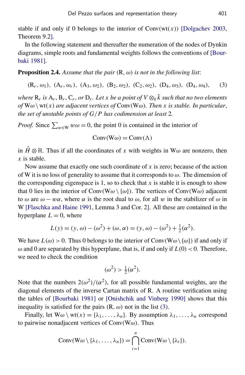stable if and only if 0 belongs to the interior of  $Conv(wt(x))$  [\[Dolgachev 2003,](#page-26-7) Theorem 9.2].

In the following statement and thereafter the numeration of the nodes of Dynkin diagrams, simple roots and fundamental weights follows the conventions of [\[Bour](#page-26-8)[baki 1981\]](#page-26-8).

<span id="page-9-1"></span>**Proposition 2.4.** Assume that the pair  $(R, \omega)$  is not in the following list:

 $(R_r, \omega_1)$ ,  $(A_r, \omega_r)$ ,  $(A_3, \omega_2)$ ,  $(B_2, \omega_2)$ ,  $(C_2, \omega_2)$ ,  $(D_4, \omega_3)$ ,  $(D_4, \omega_4)$ , (3)

where  $R_r$  is  $A_r$ ,  $B_r$ ,  $C_r$ , or  $D_r$ . Let x be a point of V  $\otimes_k \bar{k}$  such that no two elements  $of$  W $\omega \setminus \text{wt}(x)$  *are adjacent vertices of* Conv(W $\omega$ ). Then x is stable. In particular, *the set of unstable points of G*/*P has codimension at least* 2*.*

*Proof.* Since  $\sum_{w \in W} w\omega = 0$ , the point 0 is contained in the interior of

<span id="page-9-0"></span>
$$
Conv(W\omega) = Conv(\Lambda)
$$

in  $\hat{H} \otimes \mathbb{R}$ . Thus if all the coordinates of *x* with weights in W $\omega$  are nonzero, then *x* is stable.

Now assume that exactly one such coordinate of *x* is zero; because of the action of W it is no loss of generality to assume that it corresponds to  $\omega$ . The dimension of the corresponding eigenspace is 1, so to check that  $x$  is stable it is enough to show that 0 lies in the interior of Conv(W $\omega \setminus {\omega}$ ). The vertices of Conv(W $\omega$ ) adjacent to  $\omega$  are  $\omega - w\alpha$ , where  $\alpha$  is the root dual to  $\omega$ , for all w in the stabilizer of  $\omega$  in W [\[Flaschka and Haine 1991,](#page-26-5) Lemma 3 and Cor. 2]. All these are contained in the hyperplane  $L = 0$ , where

$$
L(y) = (y, \omega) - (\omega^2) + (\omega, \alpha) = (y, \omega) - (\omega^2) + \frac{1}{2}(\alpha^2).
$$

We have  $L(\omega) > 0$ . Thus 0 belongs to the interior of Conv(W $\omega \setminus {\omega}$ ) if and only if  $\omega$  and 0 are separated by this hyperplane, that is, if and only if  $L(0) < 0$ . Therefore, we need to check the condition

$$
(\omega^2) > \frac{1}{2}(\alpha^2).
$$

Note that the numbers  $2(\omega^2)/(\alpha^2)$ , for all possible fundamental weights, are the diagonal elements of the inverse Cartan matrix of R. A routine verification using the tables of [\[Bourbaki 1981\]](#page-26-8) or [\[Onishchik and Vinberg 1990\]](#page-27-10) shows that this inequality is satisfied for the pairs  $(R, \omega)$  not in the list [\(3\).](#page-9-0)

Finally, let  $W\omega \setminus wt(x) = {\lambda_1, \ldots, \lambda_n}$ . By assumption  $\lambda_1, \ldots, \lambda_n$  correspond to pairwise nonadjacent vertices of  $Conv(W\omega)$ . Thus

Conv(W
$$
\omega
$$
 \{  $\lambda_1$ ,...,  $\lambda_n$ }) =  $\bigcap_{i=1}^n$ Conv(W $\omega$  \{  $\lambda_i$ }).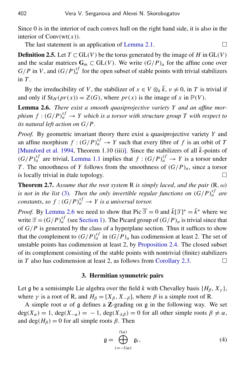Since 0 is in the interior of each convex hull on the right hand side, it is also in the interior of  $Conv(wt(x))$ .

The last statement is an application of [Lemma 2.1.](#page-6-1)  $\Box$ 

**Definition 2.5.** Let  $T \subset GL(V)$  be the torus generated by the image of *H* in  $GL(V)$ and the scalar matrices  $G_m \subset GL(V)$ . We write  $(G/P)_a$  for the affine cone over  $G/P$  in *V*, and  $(G/P)_{a}^{sf}$  for the open subset of stable points with trivial stabilizers in *T* .

By the irreducibility of *V*, the stabilizer of  $x \in V \otimes_k \overline{k}$ ,  $v \neq 0$ , in *T* is trivial if and only if  $St_H(pr(x)) = Z(G)$ , where  $pr(x)$  is the image of x in  $\mathbb{P}(V)$ .

<span id="page-10-2"></span>Lemma 2.6. *There exist a smooth quasiprojective variety Y and an affine morphism*  $f : (G/P)_a^{sf} \rightarrow Y$  which is a torsor with structure group  $T$  with respect to *its natural left action on G*/*P.*

*Proof.* By geometric invariant theory there exist a quasiprojective variety *Y* and an affine morphism  $f : (G/P)_a^{sf} \to Y$  such that every fibre of  $f$  is an orbit of  $T$ [\[Mumford et al. 1994,](#page-27-7) Theorem 1.10 (iii)]. Since the stabilizers of all  $\overline{k}$ -points of  $(G/P)_a^{sf}$  are trivial, [Lemma 1.1](#page-4-2) implies that  $f: (G/P)_a^{sf} \rightarrow Y$  is a torsor under *T*. The smoothness of *Y* follows from the smoothness of  $(G/P)_a$ , since a torsor is locally trivial in étale topology.

<span id="page-10-0"></span>**Theorem 2.7.** Assume that the root system R is simply laced, and the pair  $(R, \omega)$ *is not in the list* [\(3\)](#page-9-0). Then the only invertible regular functions on  $(G/P)_{a}^{sf}$  are *constants, so*  $f: (G/P)_a^{sf} \rightarrow Y$  *is a universal torsor.* 

*Proof.* By [Lemma 2.6](#page-10-2) we need to show that Pic  $\overline{\mathcal{F}} = 0$  and  $\overline{k}[\mathcal{F}]^* = \overline{k}^*$  where we write  $\mathcal{T} = (G/P)_{a}^{sf}$  (see [Section 1\)](#page-4-0). The Picard group of  $(G/P)_{a}$  is trivial since that of  $G/P$  is generated by the class of a hyperplane section. Thus it suffices to show that the complement to  $(G/P)^{sf}_{a}$  in  $(G/P)_{a}$  has codimension at least 2. The set of unstable points has codimension at least 2, by [Proposition 2.4.](#page-9-1) The closed subset of its complement consisting of the stable points with nontrivial (finite) stabilizers in *T* also has codimension at least 2, as follows from [Corollary 2.3.](#page-8-0)

#### 3. Hermitian symmetric pairs

<span id="page-10-1"></span>Let g be a semisimple Lie algebra over the field *k* with Chevalley basis  $\{H_\beta, X_\nu\}$ , where  $\gamma$  is a root of R, and  $H_\beta = [X_\beta, X_{-\beta}]$ , where  $\beta$  is a simple root of R.

A simple root  $\alpha$  of g defines a **Z**-grading on g in the following way. We set  $deg(X_\alpha) = 1$ ,  $deg(X_{-\alpha}) = -1$ ,  $deg(X_{\pm \beta}) = 0$  for all other simple roots  $\beta \neq \alpha$ , and deg( $H_\beta$ ) = 0 for all simple roots  $\beta$ . Then

<span id="page-10-3"></span>
$$
\mathfrak{g} = \bigoplus_{i=-l(\alpha)}^{l(\alpha)} \mathfrak{g}_i,\tag{4}
$$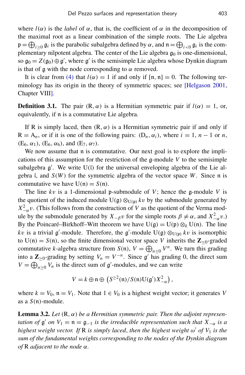where  $l(\alpha)$  is the *label* of  $\alpha$ , that is, the coefficient of  $\alpha$  in the decomposition of the maximal root as a linear combination of the simple roots. The Lie algebra  $\mathfrak{p} = \bigoplus_{i \geq 0} \mathfrak{g}_i$  is the parabolic subalgebra defined by  $\alpha$ , and  $\mathfrak{n} = \bigoplus_{i < 0} \mathfrak{g}_i$  is the complementary nilpotent algebra. The center of the Lie algebra  $g_0$  is one-dimensional, so  $\mathfrak{g}_0 = Z(\mathfrak{g}_0) \oplus \mathfrak{g}'$ , where  $\mathfrak{g}'$  is the semisimple Lie algebra whose Dynkin diagram is that of  $\alpha$  with the node corresponding to  $\alpha$  removed.

It is clear from [\(4\)](#page-10-3) that  $l(\alpha) = 1$  if and only if  $[n, n] = 0$ . The following terminology has its origin in the theory of symmetric spaces; see [\[Helgason 2001,](#page-27-11) Chapter VIII].

**Definition 3.1.** The pair  $(R, \alpha)$  is a Hermitian symmetric pair if  $l(\alpha) = 1$ , or, equivalently, if n is a commutative Lie algebra.

If R is simply laced, then  $(R, \alpha)$  is a Hermitian symmetric pair if and only if  $R = A_n$ , or if it is one of the following pairs:  $(D_n, \alpha_i)$ , where  $i = 1, n - 1$  or *n*,  $(E_6, \alpha_1)$ ,  $(E_6, \alpha_6)$ , and  $(E_7, \alpha_7)$ .

We now assume that  $n$  is commutative. Our next goal is to explore the implications of this assumption for the restriction of the  $\mathfrak{g}$ -module *V* to the semisimple subalgebra  $g'$ . We write  $U(1)$  for the universal enveloping algebra of the Lie algebra l, and  $S(W)$  for the symmetric algebra of the vector space W. Since n is commutative we have  $U(n) = S(n)$ .

The line *k*v is a 1-dimensional p-submodule of *V*; hence the g-module *V* is the quotient of the induced module  $U(\mathfrak{g}) \otimes_{U(\mathfrak{p})} kv$  by the submodule generated by  $X_{-\alpha}^2 v$ . (This follows from the construction of *V* as the quotient of the Verma module by the submodule generated by *X*<sub>−β</sub>*v* for the simple roots  $β ≠ α$ , and  $X<sup>2</sup><sub>−α</sub>ν$ .) By the Poincaré–Birkhoff–Witt theorem we have  $U(g) = U(p) \otimes_k U(n)$ . The line kv is a trivial g'-module. Therefore, the g'-module  $U(g) \otimes_{U(p)} kv$  is isomorphic to  $U(n) = S(n)$ , so the finite dimensional vector space *V* inherits the  $\mathbb{Z}_{\leq 0}$ -graded commutative *k*-algebra structure from  $S(n)$ ,  $V = \bigoplus_{n \leq 0} V^n$ . We turn this grading into a  $\mathbb{Z}_{\geq 0}$ -grading by setting  $V_n = V^{-n}$ . Since g' has grading 0, the direct sum  $V = \bigoplus_{n \geq 0} V_n$  is the direct sum of  $\mathfrak{g}'$ -modules, and we can write

$$
V = k \oplus \mathfrak{n} \oplus \left( S^{\geq 2}(\mathfrak{n})/S(\mathfrak{n}) \mathrm{U}(\mathfrak{g}') X^2_{-\alpha} \right),
$$

where  $k = V_0$ ,  $\mathfrak{n} = V_1$ . Note that  $1 \in V_0$  is a highest weight vector; it generates *V* as a *S*(n)-module.

<span id="page-11-0"></span>**Lemma 3.2.** Let  $(R, \alpha)$  be a Hermitian symmetric pair. Then the adjoint represen*tation of*  $\mathfrak{g}'$  *on*  $V_1 = \mathfrak{n} = \mathfrak{g}_{-1}$  *is the irreducible representation such that*  $X_{-\alpha}$  *is a highest weight vector. If* R *is simply laced*, *then the highest weight* ω <sup>0</sup> *of V*<sup>1</sup> *is the sum of the fundamental weights corresponding to the nodes of the Dynkin diagram of* R *adjacent to the node* α*.*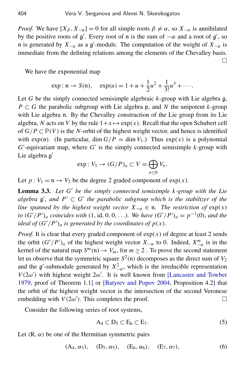*Proof.* We have  $[X_\beta, X_{-\alpha}] = 0$  for all simple roots  $\beta \neq \alpha$ , so  $X_{-\alpha}$  is annihilated by the positive roots of  $g'$ . Every root of n is the sum of  $-\alpha$  and a root of  $g'$ , so n is generated by  $X_{-\alpha}$  as a g'-module. The computation of the weight of  $X_{-\alpha}$  is immediate from the defining relations among the elements of the Chevalley basis. П

We have the exponential map

$$
\exp : \mathfrak{n} \to S(\mathfrak{n}), \quad \exp(u) = 1 + u + \frac{1}{2}u^2 + \frac{1}{3!}u^3 + \cdots.
$$

Let *G* be the simply connected semisimple algebraic *k*-group with Lie algebra g,  $P \subset G$  the parabolic subgroup with Lie algebra p, and N the unipotent  $k$ -group with Lie algebra n. By the Chevalley construction of the Lie group from its Lie algebra, N acts on V by the rule  $1+x \mapsto \exp(x)$ . Recall that the open Schubert cell of  $G/P \subset \mathbb{P}(V)$  is the *N*-orbit of the highest weight vector, and hence is identified with  $exp(\mathfrak{n})$ . (In particular, dim  $G/P = \dim V_1$ .) Thus  $exp(x)$  is a polynomial  $G'$ -equivariant map, where  $G'$  is the simply connected semisimple  $k$ -group with Lie algebra g'

$$
\exp: V_1 \to (G/P)_a \subset V = \bigoplus_{n \ge 0} V_n.
$$

Let  $p: V_1 = \mathfrak{n} \to V_2$  be the degree 2 graded component of  $exp(x)$ .

<span id="page-12-1"></span>Lemma 3.3. Let G' be the simply connected semisimple k-group with the Lie  $algebra \ g'$ , and  $P' \subset G'$  the parabolic subgroup which is the stabilizer of the *line spanned by the highest weight vector*  $X_{-\alpha} \in \mathfrak{n}$ . *The restriction of*  $exp(x)$ *to*  $(G'/P')_a$  *coincides with*  $(1, id, 0, 0, ...)$ *. We have*  $(G'/P')_a = p^{-1}(0)$ *, and the ideal of*  $(G'/P')_a$  *is generated by the coordinates of*  $p(x)$ *.* 

*Proof.* It is clear that every graded component of  $exp(x)$  of degree at least 2 sends the orbit  $(G'/P')_a$  of the highest weight vector  $X_{-\alpha}$  to 0. Indeed,  $X_{-\alpha}^m$  is in the kernel of the natural map  $S^m(n) \to V_m$ , for  $m \ge 2$ . To prove the second statement let us observe that the symmetric square  $S^2(\mathfrak{n})$  decomposes as the direct sum of  $V_2$ and the g'-submodule generated by  $X_{-\alpha}^2$ , which is the irreducible representation  $V(2\omega')$  with highest weight  $2\omega'$ . It is well known from [\[Lancaster and Towber](#page-27-12) [1979,](#page-27-12) proof of Theorem 1.1] or [\[Batyrev and Popov 2004,](#page-26-2) Proposition 4.2] that the orbit of the highest weight vector is the intersection of the second Veronese embedding with  $V(2\omega')$ . This completes the proof.

Consider the following series of root systems,

<span id="page-12-2"></span><span id="page-12-0"></span>
$$
A_4 \subset D_5 \subset E_6 \subset E_7. \tag{5}
$$

Let  $(R, \alpha)$  be one of the Hermitian symmetric pairs

$$
(A_4, \alpha_3), \quad (D_5, \alpha_5), \quad (E_6, \alpha_6), \quad (E_7, \alpha_7),
$$
 (6)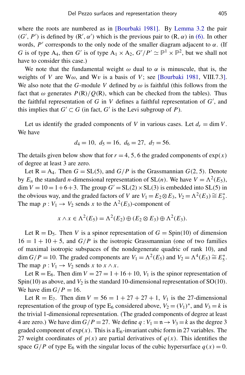where the roots are numbered as in [\[Bourbaki 1981\]](#page-26-8). By [Lemma 3.2](#page-11-0) the pair  $(G', P')$  is defined by  $(R', \alpha')$  which is the previous pair to  $(R, \alpha)$  in [\(6\).](#page-12-0) In other words,  $P'$  corresponds to the only node of the smaller diagram adjacent to  $\alpha$ . (If *G* is of type A<sub>4</sub>, then *G*' is of type  $A_1 \times A_2$ ,  $G'/P' \simeq P^1 \times P^2$ , but we shall not have to consider this case.)

We note that the fundamental weight  $\omega$  dual to  $\alpha$  is minuscule, that is, the weights of *V* are  $W\omega$ , and  $Wv$  is a basis of *V*; see [\[Bourbaki 1981,](#page-26-8) VIII.7.3]. We also note that the *G*-module *V* defined by  $\omega$  is faithful (this follows from the fact that  $\omega$  generates  $P(R)/Q(R)$ , which can be checked from the tables). Thus the faithful representation of  $G$  in  $V$  defines a faithful representation of  $G'$ , and this implies that  $G' \subset G$  (in fact,  $G'$  is the Levi subgroup of *P*).

Let us identify the graded components of *V* in various cases. Let  $d_r = \dim V$ . We have

$$
d_4 = 10
$$
,  $d_5 = 16$ ,  $d_6 = 27$ ,  $d_7 = 56$ .

The details given below show that for  $r = 4, 5, 6$  the graded components of  $exp(x)$ of degree at least 3 are zero.

Let  $R = A_4$ . Then  $G = SL(5)$ , and  $G/P$  is the Grassmannian  $G(2, 5)$ . Denote by  $E_n$  the standard *n*-dimensional representation of SL(*n*). We have  $V = \Lambda^2(E_5)$ ,  $\dim V = 10 = 1+6+3$ . The group  $G' = SL(2) \times SL(3)$  is embedded into SL(5) in the obvious way, and the graded factors of *V* are  $V_1 = E_2 \otimes E_3$ ,  $V_2 = \Lambda^2(E_3) \cong E_3^*$  $\frac{*}{3}$ . The map  $p: V_1 \to V_2$  sends *x* to the  $\Lambda^2(E_3)$ -component of

$$
x \wedge x \in \Lambda^2(E_5) = \Lambda^2(E_2) \oplus (E_2 \otimes E_3) \oplus \Lambda^2(E_3).
$$

Let  $R = D_5$ . Then *V* is a spinor representation of  $G = Spin(10)$  of dimension  $16 = 1 + 10 + 5$ , and  $G/P$  is the isotropic Grassmannian (one of two families of maximal isotropic subspaces of the nondegenerate quadric of rank 10), and dim  $G/P = 10$ . The graded components are  $V_1 = \Lambda^2(E_5)$  and  $V_2 = \Lambda^4(E_5) \cong E_5^*$ 5 . The map  $p: V_1 \rightarrow V_2$  sends *x* to  $x \land x$ .

Let  $R = E_6$ . Then dim  $V = 27 = 1 + 16 + 10$ ,  $V_1$  is the spinor representation of Spin(10) as above, and  $V_2$  is the standard 10-dimensional representation of SO(10). We have dim  $G/P = 16$ .

Let  $R = E_7$ . Then dim  $V = 56 = 1 + 27 + 27 + 1$ ,  $V_1$  is the 27-dimensional representation of the group of type  $E_6$  considered above,  $V_2 = (V_1)^*$ , and  $V_3 = k$  is the trivial 1-dimensional representation. (The graded components of degree at least 4 are zero.) We have dim  $G/P = 27$ . We define  $q : V_1 = \mathfrak{n} \rightarrow V_3 = k$  as the degree 3 graded component of  $exp(x)$ . This is a  $E_6$ -invariant cubic form in 27 variables. The 27 weight coordinates of  $p(x)$  are partial derivatives of  $q(x)$ . This identifies the space  $G/P$  of type  $E_6$  with the singular locus of the cubic hypersurface  $q(x) = 0$ .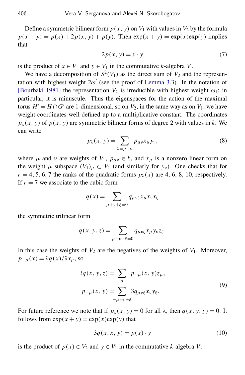<span id="page-14-1"></span>Define a symmetric bilinear form  $p(x, y)$  on  $V_1$  with values in  $V_2$  by the formula  $p(x + y) = p(x) + 2p(x, y) + p(y)$ . Then  $exp(x + y) = exp(x)exp(y)$  implies that

$$
2p(x, y) = x \cdot y \tag{7}
$$

is the product of  $x \in V_1$  and  $y \in V_1$  in the commutative *k*-algebra *V*.

We have a decomposition of  $S^2(V_1)$  as the direct sum of  $V_2$  and the representation with highest weight  $2\omega'$  (see the proof of [Lemma 3.3\)](#page-12-1). In the notation of [\[Bourbaki 1981\]](#page-26-8) the representation  $V_2$  is irreducible with highest weight  $\omega_1$ ; in particular, it is minuscule. Thus the eigenspaces for the action of the maximal torus  $H' = H \cap G'$  are 1-dimensional, so on  $V_2$ , in the same way as on  $V_1$ , we have weight coordinates well defined up to a multiplicative constant. The coordinates  $p_{\lambda}(x, y)$  of  $p(x, y)$  are symmetric bilinear forms of degree 2 with values in *k*. We can write

$$
p_{\lambda}(x, y) = \sum_{\lambda = \mu + \nu} p_{\mu\nu} x_{\mu} y_{\nu},
$$
\n(8)

<span id="page-14-3"></span>where  $\mu$  and  $\nu$  are weights of  $V_1$ ,  $p_{\mu\nu} \in k$ , and  $x_{\mu}$  is a nonzero linear form on the weight  $\mu$  subspace  $(V_1)_{\mu} \subset V_1$  (and similarly for  $y_{\nu}$ ). One checks that for  $r = 4, 5, 6, 7$  the ranks of the quadratic forms  $p_{\lambda}(x)$  are 4, 6, 8, 10, respectively. If  $r = 7$  we associate to the cubic form

$$
q(x) = \sum_{\mu + \nu + \xi = 0} q_{\mu\nu\xi} x_{\mu} x_{\nu} x_{\xi}
$$

the symmetric trilinear form

$$
q(x, y, z) = \sum_{\mu + \nu + \xi = 0} q_{\mu \nu \xi} x_{\mu} y_{\nu} z_{\xi}.
$$

In this case the weights of  $V_2$  are the negatives of the weights of  $V_1$ . Moreover,  $p_{-\mu}(x) = \partial q(x)/\partial x_{\mu}$ , so

<span id="page-14-0"></span>
$$
3q(x, y, z) = \sum_{\mu} p_{-\mu}(x, y)z_{\mu},
$$
  
\n
$$
p_{-\mu}(x, y) = \sum_{-\mu = \nu + \xi} 3q_{\mu\nu\xi}x_{\nu}y_{\xi}.
$$
\n(9)

For future reference we note that if  $p_\lambda(x, y) = 0$  for all  $\lambda$ , then  $q(x, y, y) = 0$ . It follows from  $exp(x + y) = exp(x)exp(y)$  that

<span id="page-14-2"></span>
$$
3q(x, x, y) = p(x) \cdot y \tag{10}
$$

is the product of  $p(x) \in V_2$  and  $y \in V_1$  in the commutative *k*-algebra *V*.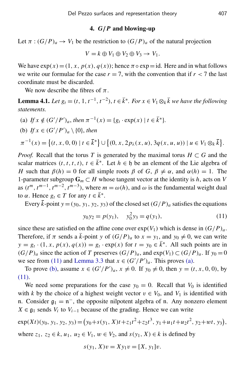#### 4. *G*/*P* and blowing-up

<span id="page-15-0"></span>Let  $\pi$  :  $(G/P)_a \to V_1$  be the restriction to  $(G/P)_a$  of the natural projection

$$
V = k \oplus V_1 \oplus V_2 \oplus V_3 \rightarrow V_1.
$$

We have  $exp(x) = (1, x, p(x), q(x))$ ; hence  $\pi \circ exp = id$ . Here and in what follows we write our formulae for the case  $r = 7$ , with the convention that if  $r < 7$  the last coordinate must be discarded.

We now describe the fibres of  $\pi$ .

<span id="page-15-4"></span>**Lemma 4.1.** *Let*  $g_t = (t, 1, t^{-1}, t^{-2})$ ,  $t \in \overline{k}^*$ . For  $x \in V_1 \otimes_k \overline{k}$  we have the following *statements.*

<span id="page-15-2"></span>(a) If  $x \notin (G'/P')_a$ , then  $\pi^{-1}(x) = \{g_t \cdot \exp(x) \mid t \in \bar{k}^*\}.$ 

<span id="page-15-3"></span>(b) If 
$$
x \in (G'/P')_a \setminus \{0\}
$$
, then  
\n
$$
\pi^{-1}(x) = \{(t, x, 0, 0) \mid t \in \bar{k}^*\} \cup \{(0, x, 2p_\lambda(x, u), 3q(x, u, u)) \mid u \in V_1 \otimes_k \bar{k}\}.
$$

*Proof.* Recall that the torus *T* is generated by the maximal torus  $H \subset G$  and the scalar matrices  $(t, t, t, t)$ ,  $t \in \overline{k}^*$ . Let  $h \in \mathfrak{h}$  be an element of the Lie algebra of *H* such that  $\beta(h) = 0$  for all simple roots  $\beta$  of *G*,  $\beta \neq \alpha$ , and  $\alpha(h) = 1$ . The 1-parameter subgroup  $\mathbf{G}_m \subset H$  whose tangent vector at the identity is *h*, acts on *V* as  $(t^m, t^{m-1}, t^{m-2}, t^{m-3})$ , where  $m = \omega(h)$ , and  $\omega$  is the fundamental weight dual to  $\alpha$ . Hence  $g_t \in T$  for any  $t \in \overline{k}^*$ .

Every  $\bar{k}$ -point  $y = (y_0, y_1, y_2, y_3)$  of the closed set  $(G/P)_a$  satisfies the equations

<span id="page-15-1"></span>
$$
y_0 y_2 = p(y_1), \quad y_0^2 y_3 = q(y_1), \tag{11}
$$

since these are satisfied on the affine cone over  $exp(V_1)$  which is dense in  $(G/P)_a$ . Therefore, if  $\pi$  sends a  $\bar{k}$ -point *y* of  $(G/P)_a$  to  $x = y_1$ , and  $y_0 \neq 0$ , we can write  $y = g_t \cdot (1, x, p(x), q(x)) = g_t \cdot \exp(x)$  for  $t = y_0 \in \overline{k}^*$ . All such points are in  $(G/P)_a$  since the action of *T* preserves  $(G/P)_a$ , and  $exp(V_1) \subset (G/P)_a$ . If  $y_0 = 0$ we see from [\(11\)](#page-15-1) and [Lemma 3.3](#page-12-1) that  $x \in (G'/P')_a$ . This proves [\(a\).](#page-15-2)

To prove [\(b\),](#page-15-3) assume  $x \in (G'/P')_a$ ,  $x \neq 0$ . If  $y_0 \neq 0$ , then  $y = (t, x, 0, 0)$ , by [\(11\).](#page-15-1)

We need some preparations for the case  $y_0 = 0$ . Recall that  $V_0$  is identified with *k* by the choice of a highest weight vector  $v \in V_0$ , and  $V_1$  is identified with n. Consider  $\mathfrak{g}_1 = \mathfrak{n}^-$ , the opposite nilpotent algebra of  $\mathfrak{n}$ . Any nonzero element *X* ∈  $\mathfrak{g}_1$  sends *V<sub>i</sub>* to *V<sub>i−1</sub>* because of the grading. Hence we can write

$$
\exp(Xt)(y_0, y_1, y_2, y_3) = (y_0 + s(y_1, X)t + z_1t^2 + z_2t^3, y_1 + u_1t + u_2t^2, y_2 + wt, y_3),
$$
  
where  $z_1, z_2 \in k$ ,  $u_1, u_2 \in V_1$ ,  $w \in V_2$ , and  $s(y_1, X) \in k$  is defined by

$$
s(y_1, X)v = Xy_1v = [X, y_1]v.
$$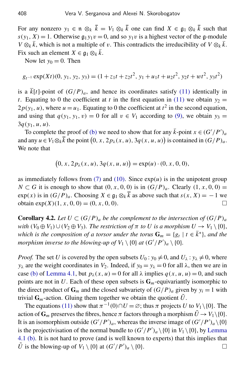For any nonzero  $y_1 \in \mathfrak{n} \otimes_k \overline{k} = V_1 \otimes_k \overline{k}$  one can find  $X \in \mathfrak{g}_1 \otimes_k \overline{k}$  such that  $s(y_1, X) = 1$ . Otherwise  $\mathfrak{g}_1 y_1 v = 0$ , and so  $y_1 v$  is a highest vector of the g-module *V* ⊗*k*  $\bar{k}$ , which is not a multiple of *v*. This contradicts the irreducibility of *V* ⊗*k*  $\bar{k}$ . Fix such an element  $X \in \mathfrak{g}_1 \otimes_k \overline{k}$ .

Now let  $y_0 = 0$ . Then

$$
g_{t^{-1}} \exp(Xt)(0, y_1, y_2, y_3) = (1 + z_1t + z_2t^2, y_1 + u_1t + u_2t^2, y_2t + wt^2, y_3t^2)
$$

is a  $\overline{k}[t]$ -point of  $(G/P)<sub>a</sub>$ , and hence its coordinates satisfy [\(11\)](#page-15-1) identically in *t*. Equating to 0 the coefficient at *t* in the first equation in [\(11\)](#page-15-1) we obtain  $y_2 =$  $2p(y_1, u)$ , where  $u = u_1$ . Equating to 0 the coefficient at  $t^2$  in the second equation, and using that  $q(y_1, y_1, v) = 0$  for all  $v \in V_1$  according to [\(9\),](#page-14-0) we obtain  $y_3 =$ 3*q*(*y*1, *u*, *u*).

To complete the proof of [\(b\)](#page-15-3) we need to show that for any  $\bar{k}$ -point  $x \in (G'/P')_a$ and any  $u \in V_1 \otimes_k \overline{k}$  the point  $(0, x, 2p_\lambda(x, u), 3q(x, u, u))$  is contained in  $(G/P)_a$ . We note that

$$
(0, x, 2p_{\lambda}(x, u), 3q(x, u, u)) = \exp(u) \cdot (0, x, 0, 0),
$$

as immediately follows from  $(7)$  and  $(10)$ . Since  $exp(u)$  is in the unipotent group *N* ⊂ *G* it is enough to show that  $(0, x, 0, 0)$  is in  $(G/P)_a$ . Clearly  $(1, x, 0, 0)$  = exp(*x*) is in  $(G/P)_a$ . Choosing  $X \in \mathfrak{g}_1 \otimes_k \overline{k}$  as above such that  $s(x, X) = -1$  we obtain  $exp(X)(1, x, 0, 0) = (0, x, 0, 0).$ 

<span id="page-16-0"></span>**Corollary 4.2.** Let  $U \subset (G/P)_a$  be the complement to the intersection of  $(G/P)_a$ *with*  $(V_0 \oplus V_1) \cup (V_2 \oplus V_3)$ *. The restriction of*  $\pi$  *to U is a morphism*  $U \to V_1 \setminus \{0\}$ *, which is the composition of a torsor under the torus*  $G_m = \{g_t \mid t \in \overline{k}^*\}$ , and the *morphism inverse to the blowing-up of*  $V_1 \setminus \{0\}$  *at*  $(G'/P')_a \setminus \{0\}$ *.* 

*Proof.* The set *U* is covered by the open subsets  $U_0: y_0 \neq 0$ , and  $U_\lambda: y_\lambda \neq 0$ , where *y*<sub>λ</sub> are the weight coordinates in *V*<sub>2</sub>. Indeed, if  $y_0 = y_\lambda = 0$  for all  $\lambda$ , then we are in case [\(b\)](#page-15-3) of [Lemma 4.1,](#page-15-4) but  $p_{\lambda}(x, u) = 0$  for all  $\lambda$  implies  $q(x, u, u) = 0$ , and such points are not in U. Each of these open subsets is  $G_m$ -equivariantly isomorphic to the direct product of  $G_m$  and the closed subvariety of  $(G/P)_a$  given by  $y_i = 1$  with trivial  $G_m$ -action. Gluing them together we obtain the quotient  $U$ .

The equations [\(11\)](#page-15-1) show that  $\pi^{-1}(0) \cap U = \emptyset$ ; thus  $\pi$  projects *U* to *V*<sub>1</sub> \{0}. The action of  $G_m$  preserves the fibres, hence  $\pi$  factors through a morphism  $\tilde{U} \to V_1 \setminus \{0\}$ . It is an isomorphism outside  $(G'/P')_a$ , whereas the inverse image of  $(G'/P')_a \setminus \{0\}$ is the projectivisation of the normal bundle to  $(G'/P')_a \setminus \{0\}$  in  $V_1 \setminus \{0\}$ , by [Lemma](#page-15-4) [4.1](#page-15-4) [\(b\).](#page-15-3) It is not hard to prove (and is well known to experts) that this implies that  $\tilde{U}$  is the blowing-up of  $V_1 \setminus \{0\}$  at  $(G'/P')_a \setminus \{0\}$ .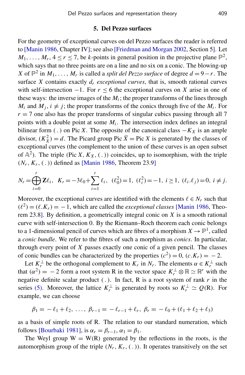#### 5. Del Pezzo surfaces

<span id="page-17-0"></span>For the geometry of exceptional curves on del Pezzo surfaces the reader is referred to [\[Manin 1986,](#page-27-0) Chapter IV]; see also [\[Friedman and Morgan 2002,](#page-26-0) Section 5]. Let  $M_1, \ldots, M_r, 4 \le r \le 7$ , be *k*-points in general position in the projective plane  $\mathbb{P}^2$ , which says that no three points are on a line and no six on a conic. The blowing-up *X* of  $\mathbb{P}^2$  in  $M_1, \ldots, M_r$  is called a *split del Pezzo surface* of degree  $d = 9 - r$ . The surface *X* contains exactly  $d_r$  *exceptional curves*, that is, smooth rational curves with self-intersection  $-1$ . For  $r < 6$  the exceptional curves on X arise in one of these ways: the inverse images of the  $M_i$ ; the proper transforms of the lines through *M*<sup>*i*</sup> and *M*<sup>*j*</sup>,  $i \neq j$ ; the proper transforms of the conics through five of the *M*<sup>*i*</sup>. For  $r = 7$  one also has the proper transforms of singular cubics passing through all 7 points with a double point at some  $M_i$ . The intersection index defines an integral bilinear form (.) on Pic *X*. The opposite of the canonical class  $-K_X$  is an ample divisor,  $(K_X^2) = d$ . The Picard group Pic  $\overline{X} = \text{Pic } X$  is generated by the classes of exceptional curves (the complement to the union of these curves is an open subset of  $\mathbb{A}^2$ ). The triple (Pic *X*,  $K_X$ , (.)) coincides, up to isomorphism, with the triple (*Nr*, *Kr*, ( . )) defined as [\[Manin 1986,](#page-27-0) Theorem 23.9]

$$
N_r = \bigoplus_{i=0}^r \mathbf{Z} \ell_i, \quad K_r = -3\ell_0 + \sum_{i=1}^r \ell_i, \quad (\ell_0^2) = 1, \quad (\ell_i^2) = -1, \quad i \ge 1, \quad (\ell_i \ldotp \ell_j) = 0, \quad i \ne j.
$$

Moreover, the exceptional curves are identified with the elements  $\ell \in N_r$  such that  $(\ell^2) = (\ell, K_r) = -1$ , which are called the *exceptional classes* [\[Manin 1986,](#page-27-0) Theorem 23.8]. By definition, a geometrically integral conic on *X* is a smooth rational curve with self-intersection 0. By the Riemann–Roch theorem each conic belongs to a 1-dimensional pencil of curves which are fibres of a morphism  $X \to \mathbb{P}^1$ , called a *conic bundle*. We refer to the fibres of such a morphism as *conics*. In particular, through every point of *X* passes exactly one conic of a given pencil. The classes of conic bundles can be characterized by the properties  $(c^2) = 0$ ,  $(c.K_r) = -2$ .

Let  $K_r^{\perp}$  be the orthogonal complement to  $K_r$  in  $N_r$ . The elements  $\alpha \in K_r^{\perp}$  such that  $(\alpha^2) = -2$  form a root system R in the vector space  $K_r^{\perp} \otimes \mathbb{R} \simeq \mathbb{R}^r$  with the negative definite scalar product  $(.)$ . In fact, R is a root system of rank  $r$  in the series [\(5\).](#page-12-2) Moreover, the lattice  $K_r^{\perp}$  is generated by roots so  $K_r^{\perp} \simeq Q(R)$ . For example, we can choose

$$
\beta_1 = -\ell_1 + \ell_2, \ldots, \ \beta_{r-1} = -\ell_{r-1} + \ell_r, \ \beta_r = -\ell_0 + (\ell_1 + \ell_2 + \ell_3)
$$

as a basis of simple roots of R. The relation to our standard numeration, which follows [\[Bourbaki 1981\]](#page-26-8), is  $\alpha_r = \beta_{r-1}, \alpha_1 = \beta_1$ .

The Weyl group  $W = W(R)$  generated by the reflections in the roots, is the automorphism group of the triple  $(N_r, K_r, (.)$ ). It operates transitively on the set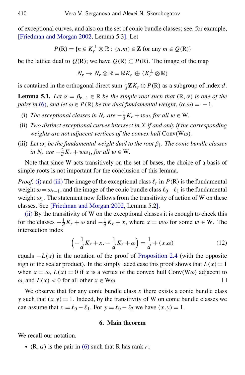of exceptional curves, and also on the set of conic bundle classes; see, for example, [\[Friedman and Morgan 2002,](#page-26-0) Lemma 5.3]. Let

$$
P(\mathbf{R}) = \{ n \in K_r^{\perp} \otimes \mathbb{R} : (n.m) \in \mathbb{Z} \text{ for any } m \in Q(\mathbf{R}) \}
$$

be the lattice dual to  $Q(R)$ ; we have  $Q(R) \subset P(R)$ . The image of the map

$$
N_r \to N_r \otimes \mathbb{R} = \mathbb{R}K_r \oplus (K_r^{\perp} \otimes \mathbb{R})
$$

is contained in the orthogonal direct sum  $\frac{1}{d}$ **Z** $K_r \oplus P(\mathbb{R})$  as a subgroup of index *d*.

<span id="page-18-5"></span>**Lemma 5.1.** *Let*  $\alpha = \beta_{r-1} \in \mathbb{R}$  *be the simple root such that*  $(\mathbb{R}, \alpha)$  *is one of the pairs in* [\(6\),](#page-12-0) *and let*  $\omega \in P(\mathbb{R})$  *be the dual fundamental weight*,  $(\alpha \cdot \omega) = -1$ *.* 

- <span id="page-18-1"></span>(i) *The exceptional classes in N<sub>r</sub> are*  $-\frac{1}{d}$  $\frac{1}{d}K_r + w\omega$ , *for all*  $w \in W$ .
- <span id="page-18-3"></span>(ii) *Two distinct exceptional curves intersect in X if and only if the corresponding weights are not adjacent vertices of the convex hull* Conv(Wω)*.*
- <span id="page-18-2"></span>(iii) Let  $\omega_1$  be the fundamental weight dual to the root  $\beta_1$ . The conic bundle classes *in*  $N_r$  *are*  $-\frac{2}{d}$  $\frac{2}{d}K_r + w\omega_1$ , *for all*  $w \in W$ .

Note that since W acts transitively on the set of bases, the choice of a basis of simple roots is not important for the conclusion of this lemma.

*Proof.* [\(i\)](#page-18-1) and [\(iii\)](#page-18-2) The image of the exceptional class  $\ell_r$  in  $P(R)$  is the fundamental weight  $\omega = \omega_{r-1}$ , and the image of the conic bundle class  $\ell_0 - \ell_1$  is the fundamental weight  $\omega_1$ . The statement now follows from the transitivity of action of W on these classes. See [\[Friedman and Morgan 2002,](#page-26-0) Lemma 5.2].

[\(ii\)](#page-18-3) By the transitivity of W on the exceptional classes it is enough to check this for the classes  $-\frac{1}{d}$  $\frac{1}{d}K_r + \omega$  and  $-\frac{1}{d}$  $\frac{1}{d}K_r + x$ , where  $x = w\omega$  for some  $w \in W$ . The intersection index

<span id="page-18-4"></span>
$$
\left(-\frac{1}{d}K_r + x \cdot -\frac{1}{d}K_r + \omega\right) = \frac{1}{d} + (x.\omega)
$$
\n(12)

equals  $-L(x)$  in the notation of the proof of [Proposition 2.4](#page-9-1) (with the opposite sign of the scalar product). In the simply laced case this proof shows that  $L(x) = 1$ when  $x = \omega$ ,  $L(x) = 0$  if x is a vertex of the convex hull Conv(W $\omega$ ) adjacent to  $\omega$ , and  $L(x) < 0$  for all other  $x \in W\omega$ .

We observe that for any conic bundle class  $x$  there exists a conic bundle class *y* such that  $(x,y) = 1$ . Indeed, by the transitivity of W on conic bundle classes we can assume that  $x = \ell_0 - \ell_1$ . For  $y = \ell_0 - \ell_2$  we have  $(x, y) = 1$ .

#### 6. Main theorem

<span id="page-18-0"></span>We recall our notation.

• (R,  $\alpha$ ) is the pair in [\(6\)](#page-12-0) such that R has rank *r*;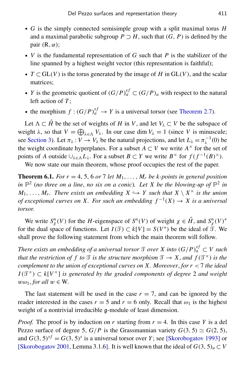- *G* is the simply connected semisimple group with a split maximal torus *H* and a maximal parabolic subgroup  $P \supset H$ , such that  $(G, P)$  is defined by the pair  $(R, \alpha)$ ;
- *V* is the fundamental representation of *G* such that *P* is the stabilizer of the line spanned by a highest weight vector (this representation is faithful);
- $T \subset GL(V)$  is the torus generated by the image of *H* in  $GL(V)$ , and the scalar matrices;
- *Y* is the geometric quotient of  $(G/P)_a^{sf} \subset (G/P)_a$  with respect to the natural left action of *T* ;
- the morphism  $f : (G/P)_a^{sf} \to Y$  is a universal torsor (see [Theorem 2.7\)](#page-10-0).

Let  $\Lambda \subset \hat{H}$  be the set of weights of *H* in *V*, and let  $V_\lambda \subset V$  be the subspace of weight  $\lambda$ , so that  $V = \bigoplus_{\lambda \in \Lambda} V_{\lambda}$ . In our case dim  $V_{\lambda} = 1$  (since *V* is minuscule; see [Section 3\)](#page-10-1). Let  $\pi_{\lambda}: V \to V_{\lambda}$  be the natural projections, and let  $L_{\lambda} = \pi_{\lambda}^{-1}(0)$  be the weight coordinate hyperplanes. For a subset  $A \subset V$  we write  $A^{\times}$  for the set of points of *A* outside  $\bigcup_{\lambda \in \Lambda} L_{\lambda}$ . For a subset  $B \subset Y$  we write  $B^{\times}$  for  $f(f^{-1}(B)^{\times})$ .

We now state our main theorem, whose proof occupies the rest of the paper.

<span id="page-19-1"></span><span id="page-19-0"></span>**Theorem 6.1.** *For r* = 4, 5, 6 *or* 7 *let*  $M_1, \ldots, M_r$  *be k-points in general position* in  $\mathbb{P}^2$  (no three on a line, no six on a conic). Let X be the blowing-up of  $\mathbb{P}^2$  in  $M_1, \ldots, M_r$ . There exists an embedding  $X \hookrightarrow Y$  such that  $X \setminus X^\times$  is the union *of exceptional curves on X. For such an embedding*  $f^{-1}(X) \to X$  *is a universal torsor.*

We write  $S_\chi^n(V)$  for the *H*-eigenspace of  $S^n(V)$  of weight  $\chi \in \hat{H}$ , and  $S_\chi^n(V)^*$ for the dual space of functions. Let  $I(\mathcal{T}) \subset k[V] = S(V^*)$  be the ideal of  $\hat{\mathcal{T}}$ . We shall prove the following statement from which the main theorem will follow.

*There exists an embedding of a universal torsor*  $\mathcal T$  *over X into*  $(G/P)^{sf}_{a} \subset V$  *such that the restriction of f to* T *is the structure morphism*  $\mathcal{T} \to X$ , *and*  $f(\mathcal{T}^{\times})$  *is the complement to the union of exceptional curves on X. Moreover*, *for r* < 7 *the ideal*  $I(\mathcal{T}^{\times}) \subset k[V^{\times}]$  *is generated by the graded components of degree* 2 *and weight*  $w\omega_1$ *, for all*  $w \in W$ *.* 

The last statement will be used in the case  $r = 7$ , and can be ignored by the reader interested in the cases  $r = 5$  and  $r = 6$  only. Recall that  $\omega_1$  is the highest weight of a nontrivial irreducible g-module of least dimension.

*Proof.* The proof is by induction on *r* starting from  $r = 4$ . In this case *Y* is a del Pezzo surface of degree 5,  $G/P$  is the Grassmannian variety  $G(3, 5) \simeq G(2, 5)$ , and  $G(3, 5)^{sf} = G(3, 5)^s$  is a universal torsor over *Y*; see [\[Skorobogatov 1993\]](#page-27-4) or [\[Skorobogatov 2001,](#page-27-3) Lemma 3.1.6]. It is well known that the ideal of  $G(3, 5)<sub>a</sub> \subset V$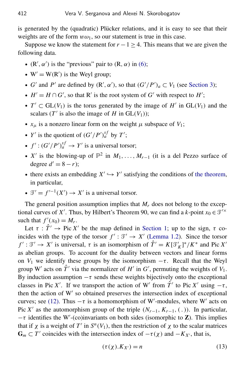is generated by the (quadratic) Plücker relations, and it is easy to see that their weights are of the form  $w\omega_1$ , so our statement is true in this case.

Suppose we know the statement for  $r - 1 \geq 4$ . This means that we are given the following data.

- $(R', \alpha')$  is the "previous" pair to  $(R, \alpha)$  in  $(6)$ ;
- $W' = W(R')$  is the Weyl group;
- *G'* and *P'* are defined by  $(R', \alpha')$ , so that  $(G'/P')_a \subset V_1$  (see [Section 3\)](#page-10-1);
- $H' = H \cap G'$ , so that R' is the root system of  $G'$  with respect to  $H'$ ;
- $T' \subset GL(V_1)$  is the torus generated by the image of  $H'$  in  $GL(V_1)$  and the scalars ( $T'$  is also the image of  $H$  in  $GL(V_1)$ );
- $x_{\mu}$  is a nonzero linear form on the weight  $\mu$  subspace of  $V_1$ ;
- *Y'* is the quotient of  $(G'/P')_a^{sf}$  by *T'*;
- $f'$ :  $(G'/P')_a^{sf} \rightarrow Y'$  is a universal torsor;
- *X'* is the blowing-up of  $\mathbb{P}^2$  in  $M_1, \ldots, M_{r-1}$  (it is a del Pezzo surface of degree  $d' = 8 - r$ ;
- there exists an embedding  $X' \hookrightarrow Y'$  satisfying the conditions of [the theorem,](#page-19-1) in particular,
- $\mathcal{T}' = f'^{-1}(X') \to X'$  is a universal torsor.

The general position assumption implies that  $M_r$  does not belong to the exceptional curves of X'. Thus, by Hilbert's Theorem 90, we can find a  $k$ -point  $x_0 \in \mathcal{T}^{\prime \times}$ such that  $f'(x_0) = M_r$ .

Let  $\tau : \hat{T}' \to \text{Pic } X'$  be the map defined in [Section 1;](#page-4-0) up to the sign,  $\tau$  coincides with the type of the torsor  $f': \mathcal{T}' \to X'$  [\(Lemma 1.2\)](#page-5-0). Since the torsor *f'* :  $\mathcal{T}' \to X'$  is universal,  $\tau$  is an isomorphism of  $\hat{T}' = K[\mathcal{T}'_K]^*/K^*$  and Pic X' as abelian groups. To account for the duality between vectors and linear forms on  $V_1$  we identify these groups by the isomorphism  $-\tau$ . Recall that the Weyl group W' acts on  $\hat{T}$ ' via the normalizer of *H*' in *G*', permuting the weights of  $V_1$ . By induction assumption  $-\tau$  sends these weights bijectively onto the exceptional classes in Pic *X'*. If we transport the action of W' from  $\hat{T}$ ' to Pic *X'* using  $-\tau$ , then the action of W' so obtained preserves the intersection index of exceptional curves; see [\(12\).](#page-18-4) Thus  $-\tau$  is a homomorphism of W'-modules, where W' acts on Pic *X'* as the automorphism group of the triple  $(N_{r-1}, K_{r-1}, (.)$ ). In particular,  $-\tau$  identifies the W'-(co)invariants on both sides (isomorphic to **Z**). This implies that if  $\chi$  is a weight of *T*' in  $S^n(V_1)$ , then the restriction of  $\chi$  to the scalar matrices  $G_m \subset T'$  coincides with the intersection index of  $-\tau(\chi)$  and  $-K_{X'}$ , that is,

<span id="page-20-0"></span>
$$
(\tau(\chi).K_{X'}) = n \tag{13}
$$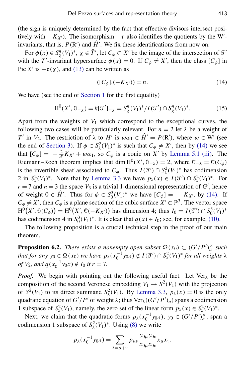(the sign is uniquely determined by the fact that effective divisors intersect positively with  $-K_{X'}$ ). The isomorphism  $-\tau$  also identifies the quotients by the W<sup>'</sup>invariants, that is,  $P(R')$  and  $\hat{H'}$ . We fix these identifications from now on.

For  $\phi(x) \in S_\chi^n(V_1)^*$ ,  $\chi \in \hat{T}'$ , let  $C_\phi \subset X'$  be the image of the intersection of  $\mathcal{T}'$ with the *T*'-invariant hypersurface  $\phi(x) = 0$ . If  $C_{\phi} \neq X'$ , then the class  $[C_{\phi}]$  in Pic *X'* is  $-\tau(\chi)$ , and [\(13\)](#page-20-0) can be written as

<span id="page-21-1"></span><span id="page-21-0"></span>
$$
([C_{\phi}].(-K_{X'})) = n. \tag{14}
$$

We have (see the end of [Section 1](#page-4-0) for the first equality)

$$
H^{0}(X', \mathbb{C}_{-\chi}) = k[\mathcal{T}']_{-\chi} = S_{\chi}^{n}(V_{1})^{*}/I(\mathcal{T}') \cap S_{\chi}^{n}(V_{1})^{*}.
$$
 (15)

Apart from the weights of  $V_1$  which correspond to the exceptional curves, the following two cases will be particularly relevant. For  $n = 2$  let  $\lambda$  be a weight of *T*<sup>*i*</sup> in *V*<sub>2</sub>. The restriction of  $\lambda$  to *H*<sup> $\prime$ </sup> is  $w\omega_1 \in \hat{H}^{\prime} = P(R^{\prime})$ , where  $w \in W^{\prime}$  (see the end of [Section 3\)](#page-10-1). If  $\phi \in S^2_\lambda(V_1)^*$  is such that  $C_\phi \neq X'$ , then by [\(14\)](#page-21-0) we see that  $[C_{\phi}] = -\frac{2}{d'} K_{X'} + w\omega_1$ , so  $C_{\phi}$  is a conic on  $X'$  by [Lemma 5.1](#page-18-5) [\(iii\).](#page-18-2) The Riemann–Roch theorem implies that dim  $H^0(X', \mathbb{O}_{\mathbb{R}}) = 2$ , where  $\mathbb{O}_{\mathbb{R}} = \mathbb{O}(C_{\phi})$ is the invertible sheaf associated to  $C_{\phi}$ . Thus  $I(\mathcal{T}') \cap S^2_{\lambda}(V_1)^*$  has codimension λ 2 in  $S^2_\lambda(V_1)^*$ . Note that by [Lemma 3.3](#page-12-1) we have  $p_\lambda(x) \in I(\mathcal{T}') \cap S^2_\lambda(V_1)^*$ . For  $r = 7$  and  $n = 3$  the space  $V_3$  is a trivial 1-dimensional representation of *G'*, hence of weight  $0 \in \hat{H}'$ . Thus for  $\phi \in S_0^3(V_1)^*$  we have  $[C_{\phi}] = -K_{X'}$ , by [\(14\).](#page-21-0) If  $C_{\phi} \neq X'$ , then  $C_{\phi}$  is a plane section of the cubic surface  $X' \subset \mathbb{P}^3$ . The vector space  $H^{0}(X', \mathbb{O}(C_{\phi})) = H^{0}(X', \mathbb{O}(-K_{X'})$  has dimension 4; thus  $I_0 = I(\mathcal{I'}) \cap S_0^3(V_1)^*$ has codimension 4 in  $S_0^3(V_1)^*$ . It is clear that  $q(x) \in I_0$ ; see, for example, [\(10\).](#page-14-2)

The following proposition is a crucial technical step in the proof of our main theorem.

**Proposition 6.2.** *There exists a nonempty open subset*  $\Omega(x_0) \subset (G'/P')_a^{\times}$  *such that for any*  $y_0 \in \Omega(x_0)$  *we have*  $p_\lambda(x_0^{-1})$  $y_0^{-1}y_0x$   $\notin I(\mathcal{T}') \cap S^2_\lambda(V_1)^*$  *for all weights*  $\lambda$ *of*  $V_2$ *, and*  $q(x_0^{-1})$  $y_0^{-1}y_0x \notin I_0 \text{ if } r = 7.$ 

*Proof.* We begin with pointing out the following useful fact. Let  $Ver_{\lambda}$  be the composition of the second Veronese embedding  $V_1 \rightarrow S^2(V_1)$  with the projection of  $S^2(V_1)$  to its direct summand  $S^2(\chi(V_1)$ . By [Lemma 3.3,](#page-12-1)  $p_\lambda(x) = 0$  is the only quadratic equation of  $G'/P'$  of weight  $\lambda$ ; thus Ver $_{\lambda}((G'/P')_a)$  spans a codimension 1 subspace of  $S^2_\lambda(V_1)$ , namely, the zero set of the linear form  $p_\lambda(x) \in S^2_\lambda(V_1)^*$ .

Next, we claim that the quadratic forms  $p_{\lambda}(x_0^{-1})$  $y_0^{-1}y_0x$ ,  $y_0 \in (G'/P')_a^{\times}$ , span a codimension 1 subspace of  $S^2_\lambda(V_1)^*$ . Using [\(8\)](#page-14-3) we write

$$
p_{\lambda}(x_0^{-1}y_0x) = \sum_{\lambda=\mu+\nu} p_{\mu\nu} \frac{y_{0\mu}y_{0\nu}}{x_{0\mu}x_{0\nu}} x_{\mu}x_{\nu}.
$$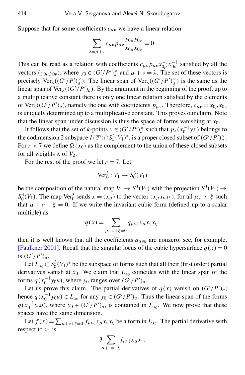Suppose that for some coefficients  $c_{\mu\nu}$  we have a linear relation

$$
\sum_{\lambda=\mu+\nu} c_{\mu\nu} p_{\mu\nu} \frac{y_{0\mu} y_{0\nu}}{x_{0\mu} x_{0\nu}} = 0.
$$

This can be read as a relation with coefficients  $c_{\mu\nu} p_{\mu\nu} x_{0\mu}^{-1}$  $^{-1}_{0\mu}x^{-1}_{0\nu}$  $_{0v}^{-1}$  satisfied by all the vectors  $(y_{0\mu}y_{0\nu})$ , where  $y_0 \in (G'/P')_a^{\times}$  and  $\mu + \nu = \lambda$ . The set of these vectors is precisely  $\text{Ver}_{\lambda}((G'/P')^{\times}_{a})$ . The linear span of  $\text{Ver}_{\lambda}((G'/P')^{\times}_{a})$  is the same as the linear span of  $\text{Ver}_{\lambda}((G'/P')_a)$ . By the argument in the beginning of the proof, up to a multiplicative constant there is only one linear relation satisfied by the elements of Ver<sub> $\lambda$ </sub>(( $G'/P'$ )<sub>a</sub>), namely the one with coefficients  $p_{\mu\nu}$ . Therefore,  $c_{\mu\nu} = x_{0\mu}x_{0\nu}$ is uniquely determined up to a multiplicative constant. This proves our claim. Note that the linear span under discussion is thus the space of forms vanishing at  $x_0$ .

It follows that the set of  $\bar{k}$ -points  $y \in (G'/P')_a^{\times}$  such that  $p_{\lambda}(x_0^{-1})$  $\int_0^{-1} yx$ ) belongs to the codimension 2 subspace  $I(\mathcal{T}') \cap S^2_\lambda(V_1)^*$ , is a proper closed subset of  $(G'/P')^\times_a$ . For  $r < 7$  we define  $\Omega(x_0)$  as the complement to the union of these closed subsets for all weights  $\lambda$  of  $V_2$ .

For the rest of the proof we let  $r = 7$ . Let

$$
\text{Ver}_0^3: V_1 \to S_0^3(V_1)
$$

be the composition of the natural map  $V_1 \rightarrow S^3(V_1)$  with the projection  $S^3(V_1) \rightarrow$  $S_0^3(V_1)$ . The map Ver<sup>3</sup> sends  $x = (x_\mu)$  to the vector  $(x_\mu x_\nu x_\xi)$ , for all  $\mu$ ,  $\nu$ ,  $\xi$  such that  $\mu + \nu + \xi = 0$ . If we write the invariant cubic form (defined up to a scalar multiple) as

$$
q(x) = \sum_{\mu + \nu + \xi = 0} q_{\mu\nu\xi} x_{\mu} x_{\nu} x_{\xi},
$$

then it is well known that all the coefficients  $q_{\mu\nu\xi}$  are nonzero; see, for example, [\[Faulkner 2001\]](#page-26-9). Recall that the singular locus of the cubic hypersurface  $q(x) = 0$ is  $(G'/P')_a$ .

Let  $L_{x_0} \subset S_0^3(V_1)^*$  be the subspace of forms such that all their (first order) partial derivatives vanish at  $x_0$ . We claim that  $L_{x_0}$  coincides with the linear span of the forms  $q(x_0^{-1})$  $\int_0^{-1} y_0 u$ , where  $y_0$  ranges over  $(G'/P')_a$ .

Let us prove this claim. The partial derivatives of  $q(x)$  vanish on  $(G'/P')_a$ ; hence  $q(x_0^{-1})$  $y_0^{-1}y_0u$   $\in$   $L_{x_0}$  for any  $y_0 \in (G'/P')_a$ . Thus the linear span of the forms  $q(x_0^{-1})$  $\int_0^{-1} y_0 u$ , where  $y_0 \in (G'/P')_a$ , is contained in  $L_{x_0}$ . We now prove that these spaces have the same dimension.

Let  $f(x) = \sum_{\mu+\nu+\xi=0} f_{\mu\nu\xi} x_{\mu} x_{\nu} x_{\xi}$  be a form in  $L_{x_0}$ . The partial derivative with respect to  $x_{\xi}$  is

$$
3\sum_{\mu+\nu=-\xi}f_{\mu\nu\xi}x_{\mu}x_{\nu}.
$$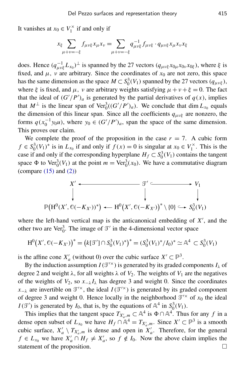It vanishes at  $x_0 \in V_1^\times$  $i_1^{\times}$  if and only if

$$
x_{\xi} \sum_{\mu + \nu = -\xi} f_{\mu\nu\xi} x_{\mu} x_{\nu} = \sum_{\mu + \nu = -\xi} q^{-1}_{\mu\nu\xi} f_{\mu\nu\xi} \cdot q_{\mu\nu\xi} x_{\mu} x_{\nu} x_{\xi}
$$

does. Hence  $(q_{\mu\nu\xi}^{-1}L_{x_0})^{\perp}$  is spanned by the 27 vectors  $(q_{\mu\nu\xi}x_{0\mu}x_{0\nu}x_{0\xi})$ , where  $\xi$  is fixed, and  $\mu$ ,  $\nu$  are arbitrary. Since the coordinates of  $x_0$  are not zero, this space has the same dimension as the space  $M \subset S_0^3(V_1)$  spanned by the 27 vectors ( $q_{\mu\nu\xi}$ ), where  $\xi$  is fixed, and  $\mu$ ,  $\nu$  are arbitrary weights satisfying  $\mu + \nu + \xi = 0$ . The fact that the ideal of  $(G'/P')_a$  is generated by the partial derivatives of  $q(x)$ , implies that  $M^{\perp}$  is the linear span of  $\text{Ver}^3_0((G'/P')_a)$ . We conclude that dim  $L_{x_0}$  equals the dimension of this linear span. Since all the coefficients  $q_{\mu\nu\xi}$  are nonzero, the forms  $q(x_0^{-1})$  $^{1}_{0}$  y<sub>0</sub>*u*), where  $y_0 \in (G'/P')_a$ , span the space of the same dimension. This proves our claim.

We complete the proof of the proposition in the case  $r = 7$ . A cubic form  $f \in S_0^3(V_1)^*$  is in  $L_{x_0}$  if and only if  $f(x) = 0$  is singular at  $x_0 \in V_1^{\times}$  $i_1^{\times}$ . This is the case if and only if the corresponding hyperplane  $H_f \subset S_0^3(V_1)$  contains the tangent space  $\Phi$  to  $\text{Ver}_0^3(V_1)$  at the point  $m = \text{Ver}_0^3(x_0)$ . We have a commutative diagram (compare  $(15)$  and  $(2)$ )

$$
X' \leftarrow \qquad \qquad \mathcal{F}' \subset \qquad \longrightarrow V_1
$$
\n
$$
\downarrow \qquad \qquad \downarrow \qquad \qquad \downarrow
$$
\n
$$
\mathbb{P}\left(\mathrm{H}^0(X', \mathbb{O}(-K_{X'}))^* \right) \leftarrow \mathrm{H}^0\left(X', \mathbb{O}(-K_{X'})\right)^* \setminus \{0\} \hookrightarrow S_0^3(V_1)
$$

where the left-hand vertical map is the anticanonical embedding of  $X'$ , and the other two are Ver<sup>3</sup><sub>0</sub>. The image of  $\mathcal{T}'$  in the 4-dimensional vector space

$$
H^{0}(X', \mathbb{O}(-K_{X'}))^{*} = (k[\mathcal{T}'] \cap S_{0}^{3}(V_{1})^{*})^{*} = (S_{0}^{3}(V_{1})^{*}/I_{0})^{*} \simeq \mathbb{A}^{4} \subset S_{0}^{3}(V_{1})
$$

is the affine cone  $X'_a$  (without 0) over the cubic surface  $X' \subset \mathbb{P}^3$ .

By the induction assumption  $I(\mathcal{T}^{\prime\times})$  is generated by its graded components  $I_\lambda$  of degree 2 and weight  $\lambda$ , for all weights  $\lambda$  of  $V_2$ . The weights of  $V_1$  are the negatives of the weights of  $V_2$ , so  $x_{-\lambda} I_{\lambda}$  has degree 3 and weight 0. Since the coordinates  $x_{-\lambda}$  are invertible on  $\mathcal{T}^{\prime\lambda}$ , the ideal *I*( $\mathcal{T}^{\prime\lambda}$ ) is generated by its graded component of degree 3 and weight 0. Hence locally in the neighborhood  $\mathcal{T}^{\prime\prime}$  of  $x_0$  the ideal  $I(\mathcal{T}')$  is generated by  $I_0$ , that is, by the equations of  $\mathbb{A}^4$  in  $S_0^3(V_1)$ .

This implies that the tangent space  $T_{X'_a,m} \subset \mathbb{A}^4$  is  $\Phi \cap \mathbb{A}^4$ . Thus for any *f* in a dense open subset of  $L_{x_0}$  we have  $H_f \cap \mathbb{A}^4 = T_{X'_a,m}$ . Since  $X' \subset \mathbb{P}^3$  is a smooth cubic surface,  $X'_a \setminus T_{X'_a,m}$  is dense and open in  $X'_a$ . Therefore, for the general  $f \in L_{x_0}$  we have  $X'_a \cap H_f \neq X'_a$ , so  $f \notin I_0$ . Now the above claim implies the statement of the proposition.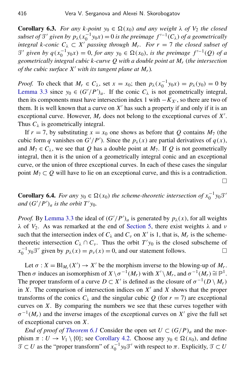<span id="page-24-1"></span>**Corollary 6.3.** *For any k-point*  $y_0 \in \Omega(x_0)$  *and any weight*  $\lambda$  *of*  $V_2$  *the closed subset of*  $\mathfrak{T}'$  *given by*  $p_\lambda(x_0^{-1})$  $j_0^{-1}y_0x$  = 0 *is the preimage*  $f'^{-1}(C_\lambda)$  *of a geometrically integral k-conic*  $C_{\lambda} \subset X'$  *passing through*  $M_r$ . For  $r = 7$  *the closed subset of*  $\mathcal{T}'$  given by  $q(x_0^{-1})$  $y_0^{-1}y_0x$  = 0, *for any*  $y_0 \in \Omega(x_0)$ , *is the preimage*  $f'^{-1}(Q)$  *of a geometrically integral cubic k-curve Q with a double point at M<sup>r</sup>* (*the intersection of the cubic surface*  $X'$  *with its tangent plane at*  $M_r$ *).* 

*Proof.* To check that  $M_r \in C_\lambda$ , set  $x = x_0$ ; then  $p_\lambda(x_0^{-1})$  $y_0^{-1}y_0x$  =  $p_\lambda(y_0) = 0$  by [Lemma 3.3](#page-12-1) since  $y_0 \in (G'/P')_a$ . If the conic  $C_\lambda$  is not geometrically integral, then its components must have intersection index 1 with  $-K_{X}$ , so there are two of them. It is well known that a curve on  $X'$  has such a property if and only if it is an exceptional curve. However,  $M_r$  does not belong to the exceptional curves of  $X'$ . Thus  $C_{\lambda}$  is geometrically integral.

If  $r = 7$ , by substituting  $x = x_0$  one shows as before that *Q* contains  $M_7$  (the cubic form *q* vanishes on  $G'/P'$ ). Since the  $p_{\lambda}(x)$  are partial derivatives of  $q(x)$ , and  $M_7 \n\in C_\lambda$ , we see that Q has a double point at  $M_7$ . If Q is not geometrically integral, then it is the union of a geometrically integral conic and an exceptional curve, or the union of three exceptional curves. In each of these cases the singular point  $M_7 \subset Q$  will have to lie on an exceptional curve, and this is a contradiction.  $\Box$ 

<span id="page-24-0"></span>**Corollary 6.4.** *For any*  $y_0 \in \Omega(x_0)$  *the scheme-theoretic intersection of*  $x_0^{-1}y_0\mathcal{T}'$ *and*  $(G'/P')_a$  *is the orbit*  $T'y_0$ *.* 

*Proof.* By [Lemma 3.3](#page-12-1) the ideal of  $(G'/P')_a$  is generated by  $p_\lambda(x)$ , for all weights λ of  $V_2$ . As was remarked at the end of [Section 5,](#page-17-0) there exist weights λ and *ν* such that the intersection index of  $C_{\lambda}$  and  $C_{\nu}$  on  $X'$  is 1, that is,  $M_r$  is the schemetheoretic intersection  $C_{\lambda} \cap C_{\nu}$ . Thus the orbit  $T'y_0$  is the closed subscheme of  $x_0^{-1}$  $v_0^{-1} y_0 \mathcal{T}'$  given by  $p_\lambda(x) = p_\nu(x) = 0$ , and our statement follows.

Let  $\sigma: X = \text{Bl}_{M_r}(X') \to X'$  be the morphism inverse to the blowing-up of  $M_r$ . Then  $\sigma$  induces an isomorphism of  $X \setminus \sigma^{-1}(M_r)$  with  $X' \setminus M_r$ , and  $\sigma^{-1}(M_r) \cong \mathbb{P}^1$ . The proper transform of a curve  $D \subset X'$  is defined as the closure of  $\sigma^{-1}(D \setminus M_r)$ in  $X$ . The comparison of intersection indices on  $X'$  and  $X$  shows that the proper transforms of the conics  $C_{\lambda}$  and the singular cubic *Q* (for  $r = 7$ ) are exceptional curves on *X*. By comparing the numbers we see that these curves together with  $\sigma^{-1}(M_r)$  and the inverse images of the exceptional curves on X' give the full set of exceptional curves on *X*.

*End of proof of [Theorem 6.1](#page-19-0)* Consider the open set  $U \subset (G/P)_a$  and the morphism  $\pi : U \to V_1 \setminus \{0\}$ ; see [Corollary 4.2.](#page-16-0) Choose any  $y_0 \in \Omega(x_0)$ , and define  $\mathcal{T} \subset U$  as the "proper transform" of  $x_0^{-1}$  $\int_0^{-1} y_0 \mathcal{T}'$  with respect to  $\pi$ . Explicitly,  $\mathcal{T} \subset U$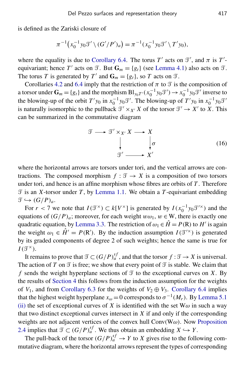is defined as the Zariski closure of

$$
\pi^{-1}(x_0^{-1}y_0\mathcal{I}'\setminus (G'/P')_a) = \pi^{-1}(x_0^{-1}y_0\mathcal{I}'\setminus T'y_0),
$$

where the equality is due to [Corollary 6.4.](#page-24-0) The torus *T'* acts on  $\mathcal{T}'$ , and  $\pi$  is *T'*equivariant; hence *T'* acts on  $\mathcal{T}$ . But  $\mathbf{G}_m = \{g_t\}$  (see [Lemma 4.1\)](#page-15-4) also acts on  $\mathcal{T}$ . The torus *T* is generated by *T*<sup>'</sup> and  $\mathbf{G}_m = \{g_t\}$ , so *T* acts on  $\mathcal{T}$ .

Corollaries [4.2](#page-16-0) and [6.4](#page-24-0) imply that the restriction of  $\pi$  to  $\mathcal T$  is the composition of a torsor under  $\mathbf{G}_m = \{g_t\}$  and the morphism  $\text{Bl}_{y_0T'}(x_0^{-1})$  $y_0^{-1}y_0 \mathcal{T}'$   $\rightarrow x_0^{-1}$  $_{0}^{-1}$  y<sub>0</sub> $\mathcal{T}'$  inverse to the blowing-up of the orbit  $T'y_0$  in  $x_0^{-1}$  $\int_0^{-1} y_0 \mathcal{T}'$ . The blowing-up of  $T' y_0$  in  $x_0^{-1}$  $\sigma^{-1}y_0\mathcal{T}'$ is naturally isomorphic to the pullback  $\mathcal{T}' \times_{X'} X$  of the torsor  $\mathcal{T}' \to X'$  to  $\hat{X}$ . This can be summarized in the commutative diagram

$$
\mathcal{T} \longrightarrow \mathcal{T}' \times_{X'} X \longrightarrow X
$$
\n
$$
\downarrow \qquad \qquad \downarrow \sigma
$$
\n
$$
\mathcal{T}' \longrightarrow X'
$$
\n(16)

where the horizontal arrows are torsors under tori, and the vertical arrows are contractions. The composed morphism  $f : \mathcal{T} \to X$  is a composition of two torsors under tori, and hence is an affine morphism whose fibres are orbits of *T* . Therefore  $\mathcal T$  is an *X*-torsor under *T*, by [Lemma 1.1.](#page-4-2) We obtain a *T*-equivariant embedding  $\mathfrak{T} \hookrightarrow (G/P)_a$ .

For *r* < 7 we note that  $I(\mathcal{T}^{\times}) \subset k[V^{\times}]$  is generated by  $I(x_0^{-1})$  $_{0}^{-1}y_{0}\mathcal{T}^{\prime x}$ ) and the equations of  $(G/P)_a$ ; moreover, for each weight  $w\omega_1$ ,  $w \in W$ , there is exactly one quadratic equation, by [Lemma 3.3.](#page-12-1) The restriction of  $\omega_1 \in \hat{H} = P(R)$  to *H'* is again the weight  $\omega_1 \in \hat{H}' = P(R')$ . By the induction assumption  $I(\mathcal{T}'^{\times})$  is generated by its graded components of degree 2 of such weights; hence the same is true for  $I(\mathcal{T}^{\times}).$ 

It remains to prove that  $\mathcal{T} \subset (G/P)^{sf}_{a}$ , and that the torsor  $f : \mathcal{T} \to X$  is universal. The action of *T* on  $\mathcal T$  is free; we show that every point of  $\mathcal T$  is stable. We claim that *f* sends the weight hyperplane sections of  $\mathcal T$  to the exceptional curves on *X*. By the results of [Section 4](#page-15-0) this follows from the induction assumption for the weights of  $V_1$ , and from [Corollary 6.3](#page-24-1) for the weights of  $V_2 \oplus V_3$ . [Corollary 6.4](#page-24-0) implies that the highest weight hyperplane  $x_{\omega} = 0$  corresponds to  $\sigma^{-1}(M_r)$ . By [Lemma 5.1](#page-18-5) [\(ii\)](#page-18-3) the set of exceptional curves of *X* is identified with the set  $W\omega$  in such a way that two distinct exceptional curves intersect in *X* if and only if the corresponding weights are not adjacent vertices of the convex hull  $Conv(W\omega)$ . Now [Proposition](#page-9-1) [2.4](#page-9-1) implies that  $\mathcal{T} \subset (G/P)^{sf}_{a}$ . We thus obtain an embedding  $X \hookrightarrow Y$ .

The pull-back of the torsor  $(G/P)^{sf}_{a} \to Y$  to *X* gives rise to the following commutative diagram, where the horizontal arrows represent the types of corresponding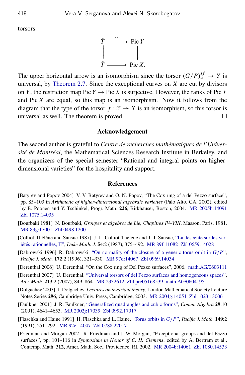torsors



The upper horizontal arrow is an isomorphism since the torsor  $(G/P)^{sf}_{a} \rightarrow Y$  is universal, by [Theorem 2.7.](#page-10-0) Since the exceptional curves on *X* are cut by divisors on *Y*, the restriction map Pic  $Y \to Pic X$  is surjective. However, the ranks of Pic *Y* and Pic *X* are equal, so this map is an isomorphism. Now it follows from the diagram that the type of the torsor  $f : \mathcal{T} \to X$  is an isomorphism, so this torsor is universal as well. The theorem is proved.  $\Box$ 

#### Acknowledgement

The second author is grateful to *Centre de recherches mathématiques de l'Université de Montréal*, the Mathematical Sciences Research Institute in Berkeley, and the organizers of the special semester "Rational and integral points on higherdimensional varieties" for the hospitality and support.

#### **References**

- <span id="page-26-2"></span>[Batyrev and Popov 2004] V. V. Batyrev and O. N. Popov, "The Cox ring of a del Pezzo surface", pp. 85–103 in *Arithmetic of higher-dimensional algebraic varieties* (Palo Alto, CA, 2002), edited by B. Poonen and Y. Tschinkel, Progr. Math. 226, Birkhäuser, Boston, 2004. [MR 2005h:14091](http://msp.org/idx/mr/2005h:14091) [Zbl 1075.14035](http://msp.org/idx/zbl/1075.14035)
- <span id="page-26-8"></span>[Bourbaki 1981] N. Bourbaki, *Groupes et algèbres de Lie, Chapitres IV–VIII*, Masson, Paris, 1981. [MR 83g:17001](http://msp.org/idx/mr/83g:17001) [Zbl 0498.12001](http://msp.org/idx/zbl/0498.12001)
- <span id="page-26-1"></span>[Colliot-Thélène and Sansuc 1987] J.-L. Colliot-Thélène and J.-J. Sansuc, ["La descente sur les var](http://dx.doi.org/10.1215/S0012-7094-87-05420-2)[iétés rationnelles, II",](http://dx.doi.org/10.1215/S0012-7094-87-05420-2) *Duke Math. J.* 54:2 (1987), 375–492. [MR 89f:11082](http://msp.org/idx/mr/89f:11082) [Zbl 0659.14028](http://msp.org/idx/zbl/0659.14028)
- <span id="page-26-6"></span>[Dabrowski 1996] R. Dabrowski, ["On normality of the closure of a generic torus orbit in](http://projecteuclid.org/getRecord?id=euclid.pjm/1102366013) *G*/*P*", *Pacific J. Math.* 172:2 (1996), 321–330. [MR 97d:14067](http://msp.org/idx/mr/97d:14067) [Zbl 0969.14034](http://msp.org/idx/zbl/0969.14034)
- <span id="page-26-3"></span>[Derenthal 2006] U. Derenthal, "On the Cox ring of Del Pezzo surfaces", 2006. [math.AG/0603111](http://arxiv.org/abs/math.AG/0603111)
- <span id="page-26-4"></span>[Derenthal 2007] U. Derenthal, ["Universal torsors of del Pezzo surfaces and homogeneous spaces",](http://dx.doi.org/10.1016/j.aim.2007.01.012) *Adv. Math.* 213:2 (2007), 849–864. [MR 2332612](http://msp.org/idx/mr/2332612) [Zbl pre05168539](http://msp.org/idx/zbl/pre05168539) [math.AG/0604195](http://msp.org/idx/arx/math.AG/0604195)
- <span id="page-26-7"></span>[Dolgachev 2003] I. Dolgachev, *Lectures on invariant theory*, London Mathematical Society Lecture Notes Series 296, Cambridge Univ. Press, Cambridge, 2003. [MR 2004g:14051](http://msp.org/idx/mr/2004g:14051) [Zbl 1023.13006](http://msp.org/idx/zbl/1023.13006)
- <span id="page-26-9"></span>[Faulkner 2001] J. R. Faulkner, ["Generalized quadrangles and cubic forms",](http://dx.doi.org/10.1081/AGB-100106777) *Comm. Algebra* 29:10 (2001), 4641–4653. [MR 2002j:17039](http://msp.org/idx/mr/2002j:17039) [Zbl 0992.17017](http://msp.org/idx/zbl/0992.17017)
- <span id="page-26-5"></span>[Flaschka and Haine 1991] H. Flaschka and L. Haine, ["Torus orbits in](http://projecteuclid.org/getRecord?id=euclid.pjm/1102644463) *G*/*P*", *Pacific J. Math.* 149:2 (1991), 251–292. [MR 92e:14047](http://msp.org/idx/mr/92e:14047) [Zbl 0788.22017](http://msp.org/idx/zbl/0788.22017)
- <span id="page-26-0"></span>[Friedman and Morgan 2002] R. Friedman and J. W. Morgan, "Exceptional groups and del Pezzo surfaces", pp. 101–116 in *Symposium in Honor of C. H. Clemens*, edited by A. Bertram et al., Contemp. Math. 312, Amer. Math. Soc., Providence, RI, 2002. [MR 2004b:14061](http://msp.org/idx/mr/2004b:14061) [Zbl 1080.14533](http://msp.org/idx/zbl/1080.14533)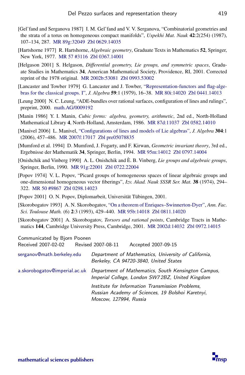- <span id="page-27-9"></span>[Gel'fand and Serganova 1987] I. M. Gel'fand and V. V. Serganova, "Combinatorial geometries and the strata of a torus on homogeneous compact manifolds", *Uspekhi Mat. Nauk* 42:2(254) (1987), 107–134, 287. [MR 89g:32049](http://msp.org/idx/mr/89g:32049) [Zbl 0629.14035](http://msp.org/idx/zbl/0629.14035)
- <span id="page-27-6"></span>[Hartshorne 1977] R. Hartshorne, *Algebraic geometry*, Graduate Texts in Mathematics 52, Springer, New York, 1977. [MR 57 #3116](http://msp.org/idx/mr/57:3116) [Zbl 0367.14001](http://msp.org/idx/zbl/0367.14001)
- <span id="page-27-11"></span>[Helgason 2001] S. Helgason, *Differential geometry, Lie groups, and symmetric spaces*, Graduate Studies in Mathematics 34, American Mathematical Society, Providence, RI, 2001. Corrected reprint of the 1978 original. [MR 2002b:53081](http://msp.org/idx/mr/2002b:53081) [Zbl 0993.53002](http://msp.org/idx/zbl/0993.53002)
- <span id="page-27-12"></span>[Lancaster and Towber 1979] G. Lancaster and J. Towber, ["Representation-functors and flag-alge](http://dx.doi.org/10.1016/0021-8693(79)90149-2)[bras for the classical groups. I",](http://dx.doi.org/10.1016/0021-8693(79)90149-2) *J. Algebra* 59:1 (1979), 16–38. [MR 80i:14020](http://msp.org/idx/mr/80i:14020) [Zbl 0441.14013](http://msp.org/idx/zbl/0441.14013)
- <span id="page-27-2"></span>[Leung 2000] N. C. Leung, "ADE-bundles over rational surfaces, configuration of lines and rulings", preprint, 2000. [math.AG/0009192](http://msp.org/idx/arx/math.AG/0009192)
- <span id="page-27-0"></span>[Manin 1986] Y. I. Manin, *Cubic forms: algebra, geometry, arithmetic*, 2nd ed., North-Holland Mathematical Library 4, North-Holland, Amsterdam, 1986. [MR 87d:11037](http://msp.org/idx/mr/87d:11037) [Zbl 0582.14010](http://msp.org/idx/zbl/0582.14010)
- <span id="page-27-1"></span>[Manivel 2006] L. Manivel, ["Configurations of lines and models of Lie algebras",](http://dx.doi.org/10.1016/j.jalgebra.2006.04.029) *J. Algebra* 304:1 (2006), 457–486. [MR 2007f:17017](http://msp.org/idx/mr/2007f:17017) [Zbl pre05078835](http://msp.org/idx/zbl/pre05078835)
- <span id="page-27-7"></span>[Mumford et al. 1994] D. Mumford, J. Fogarty, and F. Kirwan, *Geometric invariant theory*, 3rd ed., Ergebnisse der Mathematik 34, Springer, Berlin, 1994. [MR 95m:14012](http://msp.org/idx/mr/95m:14012) [Zbl 0797.14004](http://msp.org/idx/zbl/0797.14004)
- <span id="page-27-10"></span>[Onishchik and Vinberg 1990] A. L. Onishchik and È. B. Vinberg, *Lie groups and algebraic groups*, Springer, Berlin, 1990. [MR 91g:22001](http://msp.org/idx/mr/91g:22001) [Zbl 0722.22004](http://msp.org/idx/zbl/0722.22004)
- <span id="page-27-8"></span>[Popov 1974] V. L. Popov, "Picard groups of homogeneous spaces of linear algebraic groups and one-dimensional homogeneous vector fiberings", *Izv. Akad. Nauk SSSR Ser. Mat.* 38 (1974), 294– 322. [MR 50 #9867](http://msp.org/idx/mr/50:9867) [Zbl 0298.14023](http://msp.org/idx/zbl/0298.14023)
- <span id="page-27-5"></span>[Popov 2001] O. N. Popov, Diplomarbeit, Universität Tübingen, 2001.
- <span id="page-27-4"></span>[Skorobogatov 1993] A. N. Skorobogatov, ["On a theorem of Enriques–Swinnerton-Dyer",](http://www.numdam.org/item?id=AFST_1993_6_2_3_429_0) *Ann. Fac. Sci. Toulouse Math.* (6) 2:3 (1993), 429–440. [MR 95b:14018](http://msp.org/idx/mr/95b:14018) [Zbl 0811.14020](http://msp.org/idx/zbl/0811.14020)
- <span id="page-27-3"></span>[Skorobogatov 2001] A. Skorobogatov, *Torsors and rational points*, Cambridge Tracts in Mathematics 144, Cambridge University Press, Cambridge, 2001. [MR 2002d:14032](http://msp.org/idx/mr/2002d:14032) [Zbl 0972.14015](http://msp.org/idx/zbl/0972.14015)

| Communicated by Bjorn Poonen<br>Received 2007-02-02 Revised 2007-08-11 | Accepted 2007-09-15                                                                                                             |
|------------------------------------------------------------------------|---------------------------------------------------------------------------------------------------------------------------------|
| serganov@math.berkeley.edu                                             | Department of Mathematics, University of California,                                                                            |
|                                                                        | Berkeley, CA 94720-3840, United States                                                                                          |
| a.skorobogatov@imperial.ac.uk                                          | Department of Mathematics, South Kensington Campus,<br>Imperial College, London SW72BZ, United Kingdom                          |
|                                                                        | Institute for Information Transmission Problems.<br>Russian Academy of Sciences, 19 Bolshoi Karetnyi,<br>Moscow, 127994, Russia |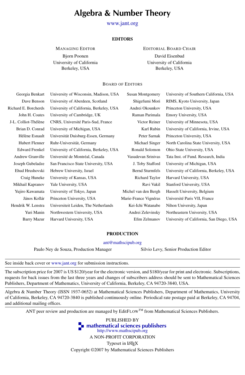## Algebra & Number Theory

[www.jant.org](http://dx.doi.org/10.2140/ant)

#### EDITORS

MANAGING EDITOR Bjorn Poonen University of California Berkeley, USA

EDITORIAL BOARD CHAIR David Eisenbud University of California Berkeley, USA

#### BOARD OF EDITORS

| Georgia Benkart         | University of Wisconsin, Madison, USA   | Susan Montgomery       | University of Southern California, USA   |
|-------------------------|-----------------------------------------|------------------------|------------------------------------------|
| Dave Benson             | University of Aberdeen, Scotland        | Shigefumi Mori         | RIMS, Kyoto University, Japan            |
| Richard E. Borcherds    | University of California, Berkeley, USA | Andrei Okounkov        | Princeton University, USA                |
| John H. Coates          | University of Cambridge, UK             | Raman Parimala         | Emory University, USA                    |
| J-L. Colliot-Thélène    | CNRS, Université Paris-Sud, France      | Victor Reiner          | University of Minnesota, USA             |
| Brian D. Conrad         | University of Michigan, USA             | Karl Rubin             | University of California, Irvine, USA    |
| Hélène Esnault          | Universität Duisburg-Essen, Germany     | Peter Sarnak           | Princeton University, USA                |
| <b>Hubert Flenner</b>   | Ruhr-Universität, Germany               | Michael Singer         | North Carolina State University, USA     |
| <b>Edward Frenkel</b>   | University of California, Berkeley, USA | Ronald Solomon         | Ohio State University, USA               |
| <b>Andrew Granville</b> | Université de Montréal, Canada          | Vasudevan Srinivas     | Tata Inst. of Fund. Research, India      |
| Joseph Gubeladze        | San Francisco State University, USA     | J. Toby Stafford       | University of Michigan, USA              |
| Ehud Hrushovski         | Hebrew University, Israel               | <b>Bernd Sturmfels</b> | University of California, Berkeley, USA  |
| Craig Huneke            | University of Kansas, USA               | Richard Taylor         | Harvard University, USA                  |
| Mikhail Kapranov        | Yale University, USA                    | Ravi Vakil             | Stanford University, USA                 |
| Yujiro Kawamata         | University of Tokyo, Japan              | Michel van den Bergh   | Hasselt University, Belgium              |
| János Kollár            | Princeton University, USA               | Marie-France Vignéras  | Université Paris VII, France             |
| Hendrik W. Lenstra      | Universiteit Leiden, The Netherlands    | Kei-Ichi Watanabe      | Nihon University, Japan                  |
| Yuri Manin              | Northwestern University, USA            | Andrei Zelevinsky      | Northeastern University, USA             |
| <b>Barry Mazur</b>      | Harvard University, USA                 | Efim Zelmanov          | University of California, San Diego, USA |
|                         |                                         |                        |                                          |

#### PRODUCTION

#### [ant@mathscipub.org](mailto:ant@mathscipub.org)

Paulo Ney de Souza, Production Manager Silvio Levy, Senior Production Editor

See inside back cover or [www.jant.org](http://dx.doi.org/10.2140/ant) for submission instructions.

The subscription price for 2007 is US \$120/year for the electronic version, and \$180/year for print and electronic. Subscriptions, requests for back issues from the last three years and changes of subscribers address should be sent to Mathematical Sciences Publishers, Department of Mathematics, University of California, Berkeley, CA 94720-3840, USA.

Algebra & Number Theory (ISSN 1937-0652) at Mathematical Sciences Publishers, Department of Mathematics, University of California, Berkeley, CA 94720-3840 is published continuously online. Periodical rate postage paid at Berkeley, CA 94704, and additional mailing offices.

ANT peer review and production are managed by  $EditFLOW^{TM}$  from Mathematical Sciences Publishers.

PUBLISHED BY **To [mathematical sciences publishers](http://www.mathscipub.org)** <http://www.mathscipub.org> A NON-PROFIT CORPORATION Typeset in LATEX

Copyright ©2007 by Mathematical Sciences Publishers